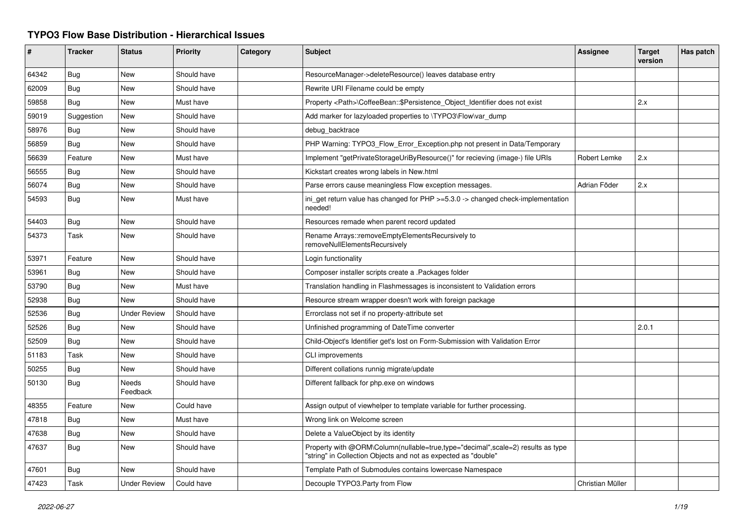## **TYPO3 Flow Base Distribution - Hierarchical Issues**

| #     | <b>Tracker</b> | <b>Status</b>            | <b>Priority</b> | Category | <b>Subject</b>                                                                                                                                    | Assignee         | <b>Target</b><br>version | Has patch |
|-------|----------------|--------------------------|-----------------|----------|---------------------------------------------------------------------------------------------------------------------------------------------------|------------------|--------------------------|-----------|
| 64342 | Bug            | <b>New</b>               | Should have     |          | ResourceManager->deleteResource() leaves database entry                                                                                           |                  |                          |           |
| 62009 | Bug            | <b>New</b>               | Should have     |          | Rewrite URI Filename could be empty                                                                                                               |                  |                          |           |
| 59858 | Bug            | <b>New</b>               | Must have       |          | Property <path>\CoffeeBean::\$Persistence Object Identifier does not exist</path>                                                                 |                  | 2.x                      |           |
| 59019 | Suggestion     | <b>New</b>               | Should have     |          | Add marker for lazyloaded properties to \TYPO3\Flow\var_dump                                                                                      |                  |                          |           |
| 58976 | <b>Bug</b>     | <b>New</b>               | Should have     |          | debug backtrace                                                                                                                                   |                  |                          |           |
| 56859 | Bug            | <b>New</b>               | Should have     |          | PHP Warning: TYPO3 Flow Error Exception.php not present in Data/Temporary                                                                         |                  |                          |           |
| 56639 | Feature        | <b>New</b>               | Must have       |          | Implement "getPrivateStorageUriByResource()" for recieving (image-) file URIs                                                                     | Robert Lemke     | 2.x                      |           |
| 56555 | Bug            | <b>New</b>               | Should have     |          | Kickstart creates wrong labels in New.html                                                                                                        |                  |                          |           |
| 56074 | Bug            | <b>New</b>               | Should have     |          | Parse errors cause meaningless Flow exception messages.                                                                                           | Adrian Föder     | 2.x                      |           |
| 54593 | Bug            | New                      | Must have       |          | ini get return value has changed for $PHP \ge 5.3.0 \ge$ changed check-implementation<br>needed!                                                  |                  |                          |           |
| 54403 | Bug            | <b>New</b>               | Should have     |          | Resources remade when parent record updated                                                                                                       |                  |                          |           |
| 54373 | Task           | <b>New</b>               | Should have     |          | Rename Arrays::removeEmptyElementsRecursively to<br>removeNullElementsRecursively                                                                 |                  |                          |           |
| 53971 | Feature        | <b>New</b>               | Should have     |          | Login functionality                                                                                                                               |                  |                          |           |
| 53961 | Bug            | <b>New</b>               | Should have     |          | Composer installer scripts create a .Packages folder                                                                                              |                  |                          |           |
| 53790 | Bug            | <b>New</b>               | Must have       |          | Translation handling in Flashmessages is inconsistent to Validation errors                                                                        |                  |                          |           |
| 52938 | Bug            | <b>New</b>               | Should have     |          | Resource stream wrapper doesn't work with foreign package                                                                                         |                  |                          |           |
| 52536 | Bug            | <b>Under Review</b>      | Should have     |          | Errorclass not set if no property-attribute set                                                                                                   |                  |                          |           |
| 52526 | Bug            | <b>New</b>               | Should have     |          | Unfinished programming of DateTime converter                                                                                                      |                  | 2.0.1                    |           |
| 52509 | <b>Bug</b>     | <b>New</b>               | Should have     |          | Child-Object's Identifier get's lost on Form-Submission with Validation Error                                                                     |                  |                          |           |
| 51183 | Task           | <b>New</b>               | Should have     |          | CLI improvements                                                                                                                                  |                  |                          |           |
| 50255 | <b>Bug</b>     | <b>New</b>               | Should have     |          | Different collations runnig migrate/update                                                                                                        |                  |                          |           |
| 50130 | Bug            | <b>Needs</b><br>Feedback | Should have     |          | Different fallback for php.exe on windows                                                                                                         |                  |                          |           |
| 48355 | Feature        | <b>New</b>               | Could have      |          | Assign output of viewhelper to template variable for further processing.                                                                          |                  |                          |           |
| 47818 | Bug            | New                      | Must have       |          | Wrong link on Welcome screen                                                                                                                      |                  |                          |           |
| 47638 | <b>Bug</b>     | <b>New</b>               | Should have     |          | Delete a ValueObject by its identity                                                                                                              |                  |                          |           |
| 47637 | Bug            | <b>New</b>               | Should have     |          | Property with @ORM\Column(nullable=true,type="decimal",scale=2) results as type<br>'string" in Collection Objects and not as expected as "double" |                  |                          |           |
| 47601 | Bug            | <b>New</b>               | Should have     |          | Template Path of Submodules contains lowercase Namespace                                                                                          |                  |                          |           |
| 47423 | Task           | <b>Under Review</b>      | Could have      |          | Decouple TYPO3.Party from Flow                                                                                                                    | Christian Müller |                          |           |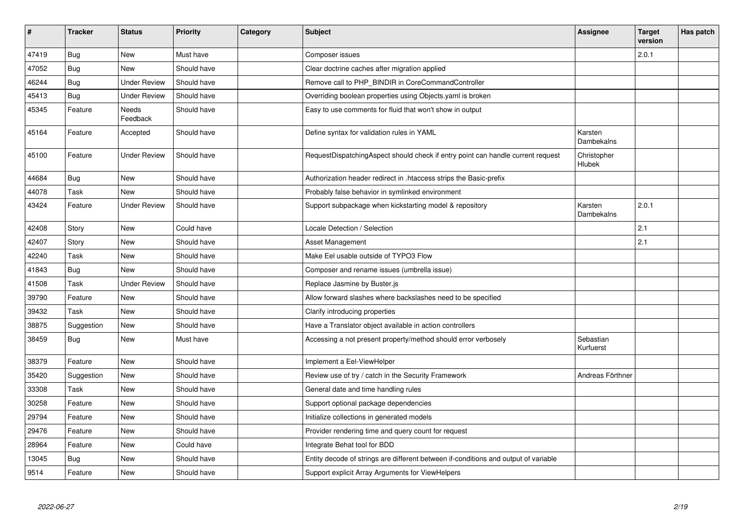| $\pmb{\sharp}$ | <b>Tracker</b> | <b>Status</b>       | <b>Priority</b> | Category | <b>Subject</b>                                                                      | Assignee               | <b>Target</b><br>version | Has patch |
|----------------|----------------|---------------------|-----------------|----------|-------------------------------------------------------------------------------------|------------------------|--------------------------|-----------|
| 47419          | Bug            | <b>New</b>          | Must have       |          | Composer issues                                                                     |                        | 2.0.1                    |           |
| 47052          | Bug            | New                 | Should have     |          | Clear doctrine caches after migration applied                                       |                        |                          |           |
| 46244          | Bug            | <b>Under Review</b> | Should have     |          | Remove call to PHP_BINDIR in CoreCommandController                                  |                        |                          |           |
| 45413          | <b>Bug</b>     | <b>Under Review</b> | Should have     |          | Overriding boolean properties using Objects yaml is broken                          |                        |                          |           |
| 45345          | Feature        | Needs<br>Feedback   | Should have     |          | Easy to use comments for fluid that won't show in output                            |                        |                          |           |
| 45164          | Feature        | Accepted            | Should have     |          | Define syntax for validation rules in YAML                                          | Karsten<br>Dambekalns  |                          |           |
| 45100          | Feature        | <b>Under Review</b> | Should have     |          | RequestDispatchingAspect should check if entry point can handle current request     | Christopher<br>Hlubek  |                          |           |
| 44684          | Bug            | <b>New</b>          | Should have     |          | Authorization header redirect in .htaccess strips the Basic-prefix                  |                        |                          |           |
| 44078          | Task           | <b>New</b>          | Should have     |          | Probably false behavior in symlinked environment                                    |                        |                          |           |
| 43424          | Feature        | <b>Under Review</b> | Should have     |          | Support subpackage when kickstarting model & repository                             | Karsten<br>Dambekalns  | 2.0.1                    |           |
| 42408          | Story          | <b>New</b>          | Could have      |          | Locale Detection / Selection                                                        |                        | 2.1                      |           |
| 42407          | Story          | <b>New</b>          | Should have     |          | Asset Management                                                                    |                        | 2.1                      |           |
| 42240          | Task           | <b>New</b>          | Should have     |          | Make Eel usable outside of TYPO3 Flow                                               |                        |                          |           |
| 41843          | Bug            | <b>New</b>          | Should have     |          | Composer and rename issues (umbrella issue)                                         |                        |                          |           |
| 41508          | Task           | <b>Under Review</b> | Should have     |          | Replace Jasmine by Buster.js                                                        |                        |                          |           |
| 39790          | Feature        | <b>New</b>          | Should have     |          | Allow forward slashes where backslashes need to be specified                        |                        |                          |           |
| 39432          | Task           | <b>New</b>          | Should have     |          | Clarify introducing properties                                                      |                        |                          |           |
| 38875          | Suggestion     | <b>New</b>          | Should have     |          | Have a Translator object available in action controllers                            |                        |                          |           |
| 38459          | Bug            | New                 | Must have       |          | Accessing a not present property/method should error verbosely                      | Sebastian<br>Kurfuerst |                          |           |
| 38379          | Feature        | <b>New</b>          | Should have     |          | Implement a Eel-ViewHelper                                                          |                        |                          |           |
| 35420          | Suggestion     | <b>New</b>          | Should have     |          | Review use of try / catch in the Security Framework                                 | Andreas Förthner       |                          |           |
| 33308          | Task           | <b>New</b>          | Should have     |          | General date and time handling rules                                                |                        |                          |           |
| 30258          | Feature        | New                 | Should have     |          | Support optional package dependencies                                               |                        |                          |           |
| 29794          | Feature        | <b>New</b>          | Should have     |          | Initialize collections in generated models                                          |                        |                          |           |
| 29476          | Feature        | New                 | Should have     |          | Provider rendering time and query count for request                                 |                        |                          |           |
| 28964          | Feature        | <b>New</b>          | Could have      |          | Integrate Behat tool for BDD                                                        |                        |                          |           |
| 13045          | Bug            | New                 | Should have     |          | Entity decode of strings are different between if-conditions and output of variable |                        |                          |           |
| 9514           | Feature        | <b>New</b>          | Should have     |          | Support explicit Array Arguments for ViewHelpers                                    |                        |                          |           |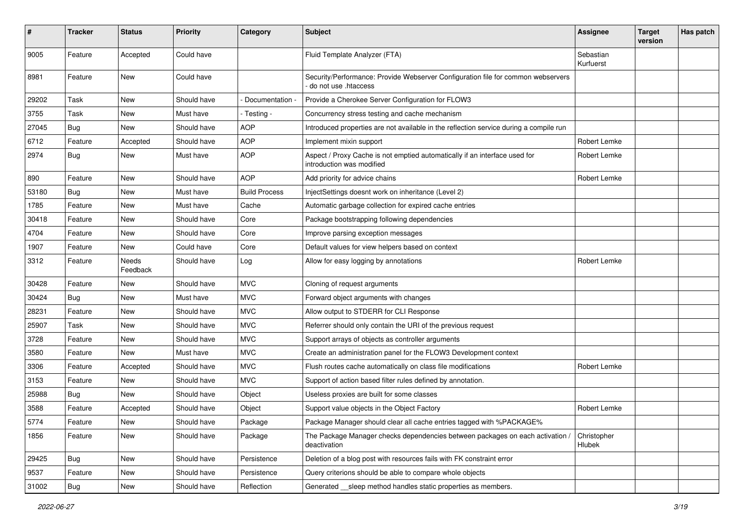| $\#$  | <b>Tracker</b> | <b>Status</b>     | <b>Priority</b> | Category             | Subject                                                                                                  | <b>Assignee</b>        | <b>Target</b><br>version | Has patch |
|-------|----------------|-------------------|-----------------|----------------------|----------------------------------------------------------------------------------------------------------|------------------------|--------------------------|-----------|
| 9005  | Feature        | Accepted          | Could have      |                      | Fluid Template Analyzer (FTA)                                                                            | Sebastian<br>Kurfuerst |                          |           |
| 8981  | Feature        | New               | Could have      |                      | Security/Performance: Provide Webserver Configuration file for common webservers<br>do not use .htaccess |                        |                          |           |
| 29202 | Task           | New               | Should have     | Documentation        | Provide a Cherokee Server Configuration for FLOW3                                                        |                        |                          |           |
| 3755  | Task           | New               | Must have       | - Testing -          | Concurrency stress testing and cache mechanism                                                           |                        |                          |           |
| 27045 | Bug            | New               | Should have     | <b>AOP</b>           | Introduced properties are not available in the reflection service during a compile run                   |                        |                          |           |
| 6712  | Feature        | Accepted          | Should have     | <b>AOP</b>           | Implement mixin support                                                                                  | Robert Lemke           |                          |           |
| 2974  | Bug            | New               | Must have       | <b>AOP</b>           | Aspect / Proxy Cache is not emptied automatically if an interface used for<br>introduction was modified  | Robert Lemke           |                          |           |
| 890   | Feature        | New               | Should have     | <b>AOP</b>           | Add priority for advice chains                                                                           | Robert Lemke           |                          |           |
| 53180 | Bug            | New               | Must have       | <b>Build Process</b> | InjectSettings doesnt work on inheritance (Level 2)                                                      |                        |                          |           |
| 1785  | Feature        | New               | Must have       | Cache                | Automatic garbage collection for expired cache entries                                                   |                        |                          |           |
| 30418 | Feature        | New               | Should have     | Core                 | Package bootstrapping following dependencies                                                             |                        |                          |           |
| 4704  | Feature        | New               | Should have     | Core                 | Improve parsing exception messages                                                                       |                        |                          |           |
| 1907  | Feature        | New               | Could have      | Core                 | Default values for view helpers based on context                                                         |                        |                          |           |
| 3312  | Feature        | Needs<br>Feedback | Should have     | Log                  | Allow for easy logging by annotations                                                                    | Robert Lemke           |                          |           |
| 30428 | Feature        | New               | Should have     | <b>MVC</b>           | Cloning of request arguments                                                                             |                        |                          |           |
| 30424 | Bug            | New               | Must have       | <b>MVC</b>           | Forward object arguments with changes                                                                    |                        |                          |           |
| 28231 | Feature        | New               | Should have     | <b>MVC</b>           | Allow output to STDERR for CLI Response                                                                  |                        |                          |           |
| 25907 | Task           | New               | Should have     | <b>MVC</b>           | Referrer should only contain the URI of the previous request                                             |                        |                          |           |
| 3728  | Feature        | New               | Should have     | <b>MVC</b>           | Support arrays of objects as controller arguments                                                        |                        |                          |           |
| 3580  | Feature        | New               | Must have       | <b>MVC</b>           | Create an administration panel for the FLOW3 Development context                                         |                        |                          |           |
| 3306  | Feature        | Accepted          | Should have     | <b>MVC</b>           | Flush routes cache automatically on class file modifications                                             | Robert Lemke           |                          |           |
| 3153  | Feature        | New               | Should have     | <b>MVC</b>           | Support of action based filter rules defined by annotation.                                              |                        |                          |           |
| 25988 | Bug            | New               | Should have     | Object               | Useless proxies are built for some classes                                                               |                        |                          |           |
| 3588  | Feature        | Accepted          | Should have     | Object               | Support value objects in the Object Factory                                                              | Robert Lemke           |                          |           |
| 5774  | Feature        | New               | Should have     | Package              | Package Manager should clear all cache entries tagged with %PACKAGE%                                     |                        |                          |           |
| 1856  | Feature        | <b>New</b>        | Should have     | Package              | The Package Manager checks dependencies between packages on each activation /<br>deactivation            | Christopher<br>Hlubek  |                          |           |
| 29425 | <b>Bug</b>     | New               | Should have     | Persistence          | Deletion of a blog post with resources fails with FK constraint error                                    |                        |                          |           |
| 9537  | Feature        | New               | Should have     | Persistence          | Query criterions should be able to compare whole objects                                                 |                        |                          |           |
| 31002 | Bug            | New               | Should have     | Reflection           | Generated __ sleep method handles static properties as members.                                          |                        |                          |           |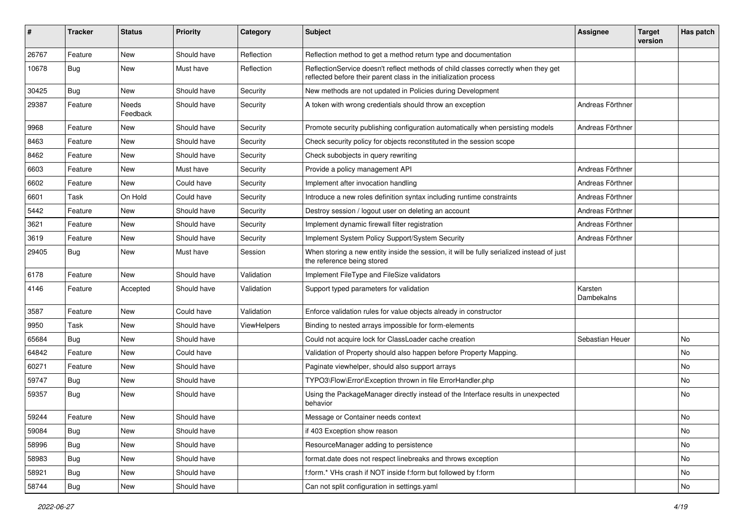| ∦     | <b>Tracker</b> | <b>Status</b>     | <b>Priority</b> | Category           | Subject                                                                                                                                                 | <b>Assignee</b>       | <b>Target</b><br>version | Has patch |
|-------|----------------|-------------------|-----------------|--------------------|---------------------------------------------------------------------------------------------------------------------------------------------------------|-----------------------|--------------------------|-----------|
| 26767 | Feature        | <b>New</b>        | Should have     | Reflection         | Reflection method to get a method return type and documentation                                                                                         |                       |                          |           |
| 10678 | <b>Bug</b>     | New               | Must have       | Reflection         | ReflectionService doesn't reflect methods of child classes correctly when they get<br>reflected before their parent class in the initialization process |                       |                          |           |
| 30425 | Bug            | <b>New</b>        | Should have     | Security           | New methods are not updated in Policies during Development                                                                                              |                       |                          |           |
| 29387 | Feature        | Needs<br>Feedback | Should have     | Security           | A token with wrong credentials should throw an exception                                                                                                | Andreas Förthner      |                          |           |
| 9968  | Feature        | New               | Should have     | Security           | Promote security publishing configuration automatically when persisting models                                                                          | Andreas Förthner      |                          |           |
| 8463  | Feature        | <b>New</b>        | Should have     | Security           | Check security policy for objects reconstituted in the session scope                                                                                    |                       |                          |           |
| 8462  | Feature        | New               | Should have     | Security           | Check subobjects in query rewriting                                                                                                                     |                       |                          |           |
| 6603  | Feature        | <b>New</b>        | Must have       | Security           | Provide a policy management API                                                                                                                         | Andreas Förthner      |                          |           |
| 6602  | Feature        | New               | Could have      | Security           | Implement after invocation handling                                                                                                                     | Andreas Förthner      |                          |           |
| 6601  | Task           | On Hold           | Could have      | Security           | Introduce a new roles definition syntax including runtime constraints                                                                                   | Andreas Förthner      |                          |           |
| 5442  | Feature        | New               | Should have     | Security           | Destroy session / logout user on deleting an account                                                                                                    | Andreas Förthner      |                          |           |
| 3621  | Feature        | <b>New</b>        | Should have     | Security           | Implement dynamic firewall filter registration                                                                                                          | Andreas Förthner      |                          |           |
| 3619  | Feature        | New               | Should have     | Security           | Implement System Policy Support/System Security                                                                                                         | Andreas Förthner      |                          |           |
| 29405 | Bug            | New               | Must have       | Session            | When storing a new entity inside the session, it will be fully serialized instead of just<br>the reference being stored                                 |                       |                          |           |
| 6178  | Feature        | <b>New</b>        | Should have     | Validation         | Implement FileType and FileSize validators                                                                                                              |                       |                          |           |
| 4146  | Feature        | Accepted          | Should have     | Validation         | Support typed parameters for validation                                                                                                                 | Karsten<br>Dambekalns |                          |           |
| 3587  | Feature        | <b>New</b>        | Could have      | Validation         | Enforce validation rules for value objects already in constructor                                                                                       |                       |                          |           |
| 9950  | Task           | <b>New</b>        | Should have     | <b>ViewHelpers</b> | Binding to nested arrays impossible for form-elements                                                                                                   |                       |                          |           |
| 65684 | <b>Bug</b>     | New               | Should have     |                    | Could not acquire lock for ClassLoader cache creation                                                                                                   | Sebastian Heuer       |                          | No        |
| 64842 | Feature        | New               | Could have      |                    | Validation of Property should also happen before Property Mapping.                                                                                      |                       |                          | No        |
| 60271 | Feature        | <b>New</b>        | Should have     |                    | Paginate viewhelper, should also support arrays                                                                                                         |                       |                          | No        |
| 59747 | <b>Bug</b>     | New               | Should have     |                    | TYPO3\Flow\Error\Exception thrown in file ErrorHandler.php                                                                                              |                       |                          | No        |
| 59357 | <b>Bug</b>     | <b>New</b>        | Should have     |                    | Using the PackageManager directly instead of the Interface results in unexpected<br>behavior                                                            |                       |                          | No        |
| 59244 | Feature        | <b>New</b>        | Should have     |                    | Message or Container needs context                                                                                                                      |                       |                          | No        |
| 59084 | <b>Bug</b>     | New               | Should have     |                    | if 403 Exception show reason                                                                                                                            |                       |                          | No        |
| 58996 | Bug            | New               | Should have     |                    | ResourceManager adding to persistence                                                                                                                   |                       |                          | No        |
| 58983 | <b>Bug</b>     | New               | Should have     |                    | format.date does not respect linebreaks and throws exception                                                                                            |                       |                          | No        |
| 58921 | <b>Bug</b>     | New               | Should have     |                    | f:form.* VHs crash if NOT inside f:form but followed by f:form                                                                                          |                       |                          | No        |
| 58744 | Bug            | New               | Should have     |                    | Can not split configuration in settings.yaml                                                                                                            |                       |                          | No        |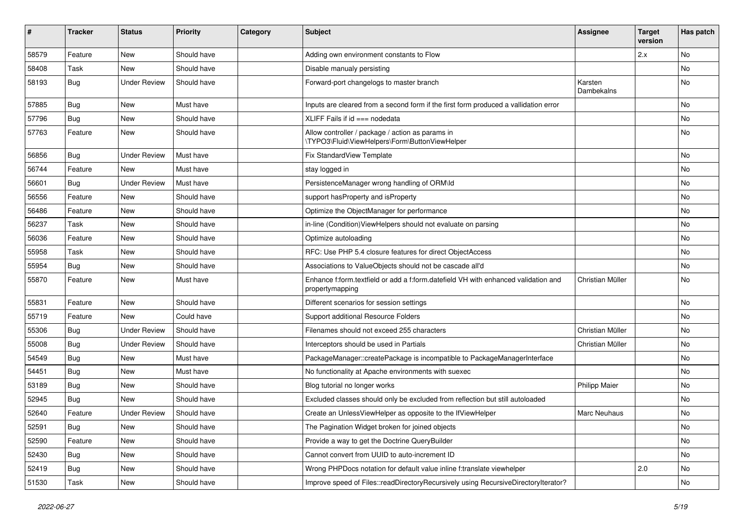| ∦     | <b>Tracker</b> | <b>Status</b>       | <b>Priority</b> | Category | <b>Subject</b>                                                                                        | <b>Assignee</b>       | <b>Target</b><br>version | Has patch |
|-------|----------------|---------------------|-----------------|----------|-------------------------------------------------------------------------------------------------------|-----------------------|--------------------------|-----------|
| 58579 | Feature        | <b>New</b>          | Should have     |          | Adding own environment constants to Flow                                                              |                       | 2.x                      | No        |
| 58408 | Task           | New                 | Should have     |          | Disable manualy persisting                                                                            |                       |                          | No        |
| 58193 | Bug            | <b>Under Review</b> | Should have     |          | Forward-port changelogs to master branch                                                              | Karsten<br>Dambekalns |                          | No        |
| 57885 | Bug            | <b>New</b>          | Must have       |          | Inputs are cleared from a second form if the first form produced a vallidation error                  |                       |                          | <b>No</b> |
| 57796 | Bug            | <b>New</b>          | Should have     |          | XLIFF Fails if $id ==$ nodedata                                                                       |                       |                          | <b>No</b> |
| 57763 | Feature        | New                 | Should have     |          | Allow controller / package / action as params in<br>\TYPO3\Fluid\ViewHelpers\Form\ButtonViewHelper    |                       |                          | No        |
| 56856 | Bug            | <b>Under Review</b> | Must have       |          | Fix StandardView Template                                                                             |                       |                          | <b>No</b> |
| 56744 | Feature        | New                 | Must have       |          | stay logged in                                                                                        |                       |                          | No        |
| 56601 | Bug            | <b>Under Review</b> | Must have       |          | PersistenceManager wrong handling of ORM\ld                                                           |                       |                          | No        |
| 56556 | Feature        | <b>New</b>          | Should have     |          | support hasProperty and isProperty                                                                    |                       |                          | No        |
| 56486 | Feature        | <b>New</b>          | Should have     |          | Optimize the ObjectManager for performance                                                            |                       |                          | No        |
| 56237 | Task           | <b>New</b>          | Should have     |          | in-line (Condition)ViewHelpers should not evaluate on parsing                                         |                       |                          | <b>No</b> |
| 56036 | Feature        | New                 | Should have     |          | Optimize autoloading                                                                                  |                       |                          | No        |
| 55958 | Task           | <b>New</b>          | Should have     |          | RFC: Use PHP 5.4 closure features for direct ObjectAccess                                             |                       |                          | No        |
| 55954 | Bug            | <b>New</b>          | Should have     |          | Associations to ValueObjects should not be cascade all'd                                              |                       |                          | No        |
| 55870 | Feature        | <b>New</b>          | Must have       |          | Enhance f:form.textfield or add a f:form.datefield VH with enhanced validation and<br>propertymapping | Christian Müller      |                          | No        |
| 55831 | Feature        | New                 | Should have     |          | Different scenarios for session settings                                                              |                       |                          | <b>No</b> |
| 55719 | Feature        | <b>New</b>          | Could have      |          | Support additional Resource Folders                                                                   |                       |                          | No        |
| 55306 | Bug            | <b>Under Review</b> | Should have     |          | Filenames should not exceed 255 characters                                                            | Christian Müller      |                          | <b>No</b> |
| 55008 | <b>Bug</b>     | <b>Under Review</b> | Should have     |          | Interceptors should be used in Partials                                                               | Christian Müller      |                          | No        |
| 54549 | Bug            | <b>New</b>          | Must have       |          | PackageManager::createPackage is incompatible to PackageManagerInterface                              |                       |                          | No        |
| 54451 | Bug            | <b>New</b>          | Must have       |          | No functionality at Apache environments with suexec                                                   |                       |                          | <b>No</b> |
| 53189 | <b>Bug</b>     | New                 | Should have     |          | Blog tutorial no longer works                                                                         | <b>Philipp Maier</b>  |                          | No        |
| 52945 | <b>Bug</b>     | New                 | Should have     |          | Excluded classes should only be excluded from reflection but still autoloaded                         |                       |                          | No        |
| 52640 | Feature        | <b>Under Review</b> | Should have     |          | Create an UnlessViewHelper as opposite to the IfViewHelper                                            | Marc Neuhaus          |                          | No        |
| 52591 | <b>Bug</b>     | New                 | Should have     |          | The Pagination Widget broken for joined objects                                                       |                       |                          | No        |
| 52590 | Feature        | New                 | Should have     |          | Provide a way to get the Doctrine QueryBuilder                                                        |                       |                          | No        |
| 52430 | <b>Bug</b>     | New                 | Should have     |          | Cannot convert from UUID to auto-increment ID                                                         |                       |                          | No        |
| 52419 | Bug            | New                 | Should have     |          | Wrong PHPDocs notation for default value inline f:translate viewhelper                                |                       | 2.0                      | No        |
| 51530 | Task           | New                 | Should have     |          | Improve speed of Files::readDirectoryRecursively using RecursiveDirectoryIterator?                    |                       |                          | No        |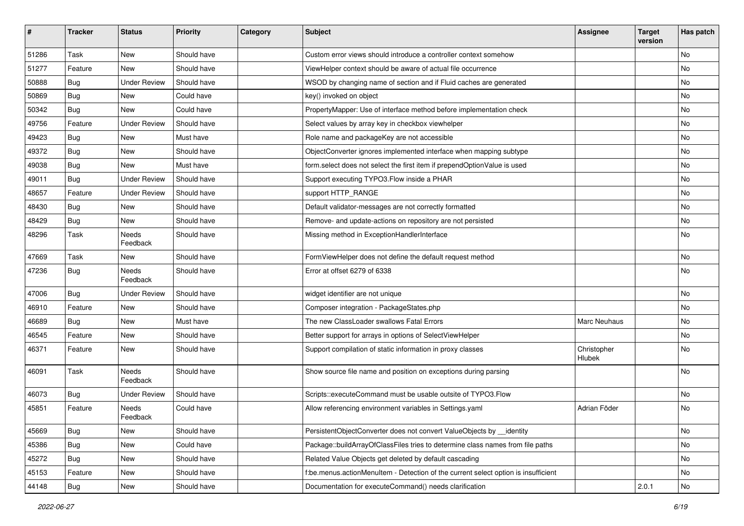| ∦     | <b>Tracker</b> | <b>Status</b>       | <b>Priority</b> | Category | <b>Subject</b>                                                                     | <b>Assignee</b>       | <b>Target</b><br>version | <b>Has patch</b> |
|-------|----------------|---------------------|-----------------|----------|------------------------------------------------------------------------------------|-----------------------|--------------------------|------------------|
| 51286 | Task           | <b>New</b>          | Should have     |          | Custom error views should introduce a controller context somehow                   |                       |                          | <b>No</b>        |
| 51277 | Feature        | New                 | Should have     |          | ViewHelper context should be aware of actual file occurrence                       |                       |                          | No               |
| 50888 | Bug            | <b>Under Review</b> | Should have     |          | WSOD by changing name of section and if Fluid caches are generated                 |                       |                          | No               |
| 50869 | Bug            | <b>New</b>          | Could have      |          | key() invoked on object                                                            |                       |                          | No               |
| 50342 | <b>Bug</b>     | New                 | Could have      |          | PropertyMapper: Use of interface method before implementation check                |                       |                          | No               |
| 49756 | Feature        | <b>Under Review</b> | Should have     |          | Select values by array key in checkbox viewhelper                                  |                       |                          | <b>No</b>        |
| 49423 | Bug            | New                 | Must have       |          | Role name and packageKey are not accessible                                        |                       |                          | No               |
| 49372 | Bug            | New                 | Should have     |          | ObjectConverter ignores implemented interface when mapping subtype                 |                       |                          | No               |
| 49038 | Bug            | New                 | Must have       |          | form.select does not select the first item if prependOptionValue is used           |                       |                          | No               |
| 49011 | <b>Bug</b>     | <b>Under Review</b> | Should have     |          | Support executing TYPO3. Flow inside a PHAR                                        |                       |                          | <b>No</b>        |
| 48657 | Feature        | <b>Under Review</b> | Should have     |          | support HTTP_RANGE                                                                 |                       |                          | No               |
| 48430 | Bug            | <b>New</b>          | Should have     |          | Default validator-messages are not correctly formatted                             |                       |                          | No               |
| 48429 | Bug            | New                 | Should have     |          | Remove- and update-actions on repository are not persisted                         |                       |                          | No               |
| 48296 | Task           | Needs<br>Feedback   | Should have     |          | Missing method in ExceptionHandlerInterface                                        |                       |                          | No               |
| 47669 | Task           | New                 | Should have     |          | FormViewHelper does not define the default request method                          |                       |                          | No               |
| 47236 | Bug            | Needs<br>Feedback   | Should have     |          | Error at offset 6279 of 6338                                                       |                       |                          | No               |
| 47006 | Bug            | <b>Under Review</b> | Should have     |          | widget identifier are not unique                                                   |                       |                          | No               |
| 46910 | Feature        | New                 | Should have     |          | Composer integration - PackageStates.php                                           |                       |                          | No               |
| 46689 | Bug            | New                 | Must have       |          | The new ClassLoader swallows Fatal Errors                                          | Marc Neuhaus          |                          | No               |
| 46545 | Feature        | New                 | Should have     |          | Better support for arrays in options of SelectViewHelper                           |                       |                          | No               |
| 46371 | Feature        | New                 | Should have     |          | Support compilation of static information in proxy classes                         | Christopher<br>Hlubek |                          | No               |
| 46091 | Task           | Needs<br>Feedback   | Should have     |          | Show source file name and position on exceptions during parsing                    |                       |                          | No               |
| 46073 | Bug            | <b>Under Review</b> | Should have     |          | Scripts::executeCommand must be usable outsite of TYPO3.Flow                       |                       |                          | No               |
| 45851 | Feature        | Needs<br>Feedback   | Could have      |          | Allow referencing environment variables in Settings.yaml                           | Adrian Föder          |                          | No               |
| 45669 | Bug            | <b>New</b>          | Should have     |          | PersistentObjectConverter does not convert ValueObjects by __identity              |                       |                          | No               |
| 45386 | <b>Bug</b>     | New                 | Could have      |          | Package::buildArrayOfClassFiles tries to determine class names from file paths     |                       |                          | No               |
| 45272 | <b>Bug</b>     | New                 | Should have     |          | Related Value Objects get deleted by default cascading                             |                       |                          | No               |
| 45153 | Feature        | New                 | Should have     |          | f:be.menus.actionMenuItem - Detection of the current select option is insufficient |                       |                          | No               |
| 44148 | Bug            | New                 | Should have     |          | Documentation for executeCommand() needs clarification                             |                       | 2.0.1                    | No               |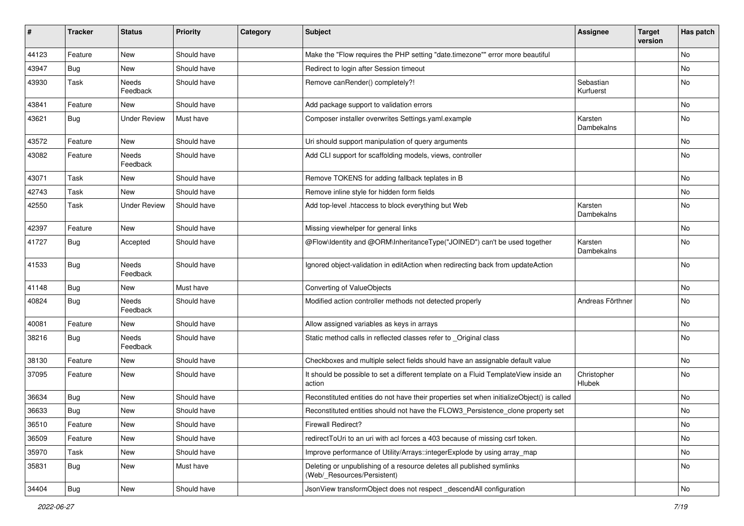| ∦     | <b>Tracker</b> | <b>Status</b>       | <b>Priority</b> | Category | <b>Subject</b>                                                                                       | <b>Assignee</b>        | <b>Target</b><br>version | Has patch |
|-------|----------------|---------------------|-----------------|----------|------------------------------------------------------------------------------------------------------|------------------------|--------------------------|-----------|
| 44123 | Feature        | <b>New</b>          | Should have     |          | Make the "Flow requires the PHP setting "date.timezone"" error more beautiful                        |                        |                          | No        |
| 43947 | <b>Bug</b>     | New                 | Should have     |          | Redirect to login after Session timeout                                                              |                        |                          | No        |
| 43930 | Task           | Needs<br>Feedback   | Should have     |          | Remove canRender() completely?!                                                                      | Sebastian<br>Kurfuerst |                          | No        |
| 43841 | Feature        | New                 | Should have     |          | Add package support to validation errors                                                             |                        |                          | No        |
| 43621 | <b>Bug</b>     | <b>Under Review</b> | Must have       |          | Composer installer overwrites Settings.yaml.example                                                  | Karsten<br>Dambekalns  |                          | <b>No</b> |
| 43572 | Feature        | <b>New</b>          | Should have     |          | Uri should support manipulation of query arguments                                                   |                        |                          | <b>No</b> |
| 43082 | Feature        | Needs<br>Feedback   | Should have     |          | Add CLI support for scaffolding models, views, controller                                            |                        |                          | No        |
| 43071 | Task           | <b>New</b>          | Should have     |          | Remove TOKENS for adding fallback teplates in B                                                      |                        |                          | No        |
| 42743 | Task           | <b>New</b>          | Should have     |          | Remove inline style for hidden form fields                                                           |                        |                          | No        |
| 42550 | Task           | <b>Under Review</b> | Should have     |          | Add top-level .htaccess to block everything but Web                                                  | Karsten<br>Dambekalns  |                          | No        |
| 42397 | Feature        | <b>New</b>          | Should have     |          | Missing viewhelper for general links                                                                 |                        |                          | No        |
| 41727 | Bug            | Accepted            | Should have     |          | @Flow\Identity and @ORM\InheritanceType("JOINED") can't be used together                             | Karsten<br>Dambekalns  |                          | No        |
| 41533 | Bug            | Needs<br>Feedback   | Should have     |          | Ignored object-validation in editAction when redirecting back from updateAction                      |                        |                          | <b>No</b> |
| 41148 | Bug            | <b>New</b>          | Must have       |          | Converting of ValueObjects                                                                           |                        |                          | No        |
| 40824 | <b>Bug</b>     | Needs<br>Feedback   | Should have     |          | Modified action controller methods not detected properly                                             | Andreas Förthner       |                          | No        |
| 40081 | Feature        | New                 | Should have     |          | Allow assigned variables as keys in arrays                                                           |                        |                          | No        |
| 38216 | <b>Bug</b>     | Needs<br>Feedback   | Should have     |          | Static method calls in reflected classes refer to _Original class                                    |                        |                          | No        |
| 38130 | Feature        | New                 | Should have     |          | Checkboxes and multiple select fields should have an assignable default value                        |                        |                          | No        |
| 37095 | Feature        | New                 | Should have     |          | It should be possible to set a different template on a Fluid TemplateView inside an<br>action        | Christopher<br>Hlubek  |                          | No        |
| 36634 | <b>Bug</b>     | New                 | Should have     |          | Reconstituted entities do not have their properties set when initializeObject() is called            |                        |                          | <b>No</b> |
| 36633 | Bug            | New                 | Should have     |          | Reconstituted entities should not have the FLOW3_Persistence_clone property set                      |                        |                          | No        |
| 36510 | Feature        | New                 | Should have     |          | Firewall Redirect?                                                                                   |                        |                          | No        |
| 36509 | Feature        | New                 | Should have     |          | redirectToUri to an uri with acl forces a 403 because of missing csrf token.                         |                        |                          | No        |
| 35970 | Task           | <b>New</b>          | Should have     |          | Improve performance of Utility/Arrays::integerExplode by using array_map                             |                        |                          | No        |
| 35831 | Bug            | New                 | Must have       |          | Deleting or unpublishing of a resource deletes all published symlinks<br>(Web/_Resources/Persistent) |                        |                          | No        |
| 34404 | <b>Bug</b>     | New                 | Should have     |          | JsonView transformObject does not respect_descendAll configuration                                   |                        |                          | No        |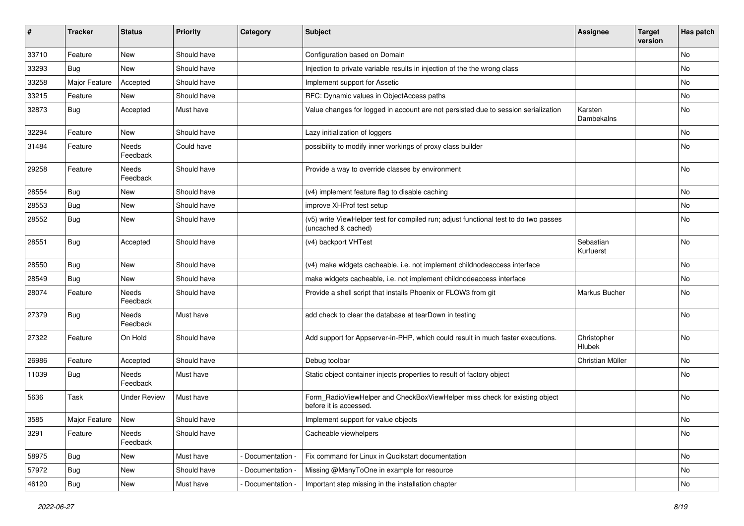| ∦     | <b>Tracker</b> | <b>Status</b>       | <b>Priority</b> | Category          | Subject                                                                                                     | <b>Assignee</b>        | <b>Target</b><br>version | Has patch                    |
|-------|----------------|---------------------|-----------------|-------------------|-------------------------------------------------------------------------------------------------------------|------------------------|--------------------------|------------------------------|
| 33710 | Feature        | <b>New</b>          | Should have     |                   | Configuration based on Domain                                                                               |                        |                          | No                           |
| 33293 | Bug            | New                 | Should have     |                   | Injection to private variable results in injection of the the wrong class                                   |                        |                          | No                           |
| 33258 | Major Feature  | Accepted            | Should have     |                   | Implement support for Assetic                                                                               |                        |                          | No                           |
| 33215 | Feature        | <b>New</b>          | Should have     |                   | RFC: Dynamic values in ObjectAccess paths                                                                   |                        |                          | No                           |
| 32873 | <b>Bug</b>     | Accepted            | Must have       |                   | Value changes for logged in account are not persisted due to session serialization                          | Karsten<br>Dambekalns  |                          | No                           |
| 32294 | Feature        | New                 | Should have     |                   | Lazy initialization of loggers                                                                              |                        |                          | No                           |
| 31484 | Feature        | Needs<br>Feedback   | Could have      |                   | possibility to modify inner workings of proxy class builder                                                 |                        |                          | No                           |
| 29258 | Feature        | Needs<br>Feedback   | Should have     |                   | Provide a way to override classes by environment                                                            |                        |                          | <b>No</b>                    |
| 28554 | Bug            | <b>New</b>          | Should have     |                   | (v4) implement feature flag to disable caching                                                              |                        |                          | No                           |
| 28553 | <b>Bug</b>     | New                 | Should have     |                   | improve XHProf test setup                                                                                   |                        |                          | No                           |
| 28552 | Bug            | New                 | Should have     |                   | (v5) write ViewHelper test for compiled run; adjust functional test to do two passes<br>(uncached & cached) |                        |                          | No                           |
| 28551 | Bug            | Accepted            | Should have     |                   | (v4) backport VHTest                                                                                        | Sebastian<br>Kurfuerst |                          | No                           |
| 28550 | Bug            | New                 | Should have     |                   | (v4) make widgets cacheable, i.e. not implement childnodeaccess interface                                   |                        |                          | No                           |
| 28549 | Bug            | New                 | Should have     |                   | make widgets cacheable, i.e. not implement childnodeaccess interface                                        |                        |                          | No                           |
| 28074 | Feature        | Needs<br>Feedback   | Should have     |                   | Provide a shell script that installs Phoenix or FLOW3 from git                                              | Markus Bucher          |                          | No                           |
| 27379 | Bug            | Needs<br>Feedback   | Must have       |                   | add check to clear the database at tearDown in testing                                                      |                        |                          | No                           |
| 27322 | Feature        | On Hold             | Should have     |                   | Add support for Appserver-in-PHP, which could result in much faster executions.                             | Christopher<br>Hlubek  |                          | No                           |
| 26986 | Feature        | Accepted            | Should have     |                   | Debug toolbar                                                                                               | Christian Müller       |                          | No                           |
| 11039 | <b>Bug</b>     | Needs<br>Feedback   | Must have       |                   | Static object container injects properties to result of factory object                                      |                        |                          | No                           |
| 5636  | Task           | <b>Under Review</b> | Must have       |                   | Form_RadioViewHelper and CheckBoxViewHelper miss check for existing object<br>before it is accessed.        |                        |                          | No                           |
| 3585  | Major Feature  | New                 | Should have     |                   | Implement support for value objects                                                                         |                        |                          | $\operatorname{\mathsf{No}}$ |
| 3291  | Feature        | Needs<br>Feedback   | Should have     |                   | Cacheable viewhelpers                                                                                       |                        |                          | No                           |
| 58975 | <b>Bug</b>     | New                 | Must have       | - Documentation - | Fix command for Linux in Qucikstart documentation                                                           |                        |                          | No                           |
| 57972 | <b>Bug</b>     | New                 | Should have     | Documentation     | Missing @ManyToOne in example for resource                                                                  |                        |                          | No                           |
| 46120 | <b>Bug</b>     | New                 | Must have       | - Documentation - | Important step missing in the installation chapter                                                          |                        |                          | No                           |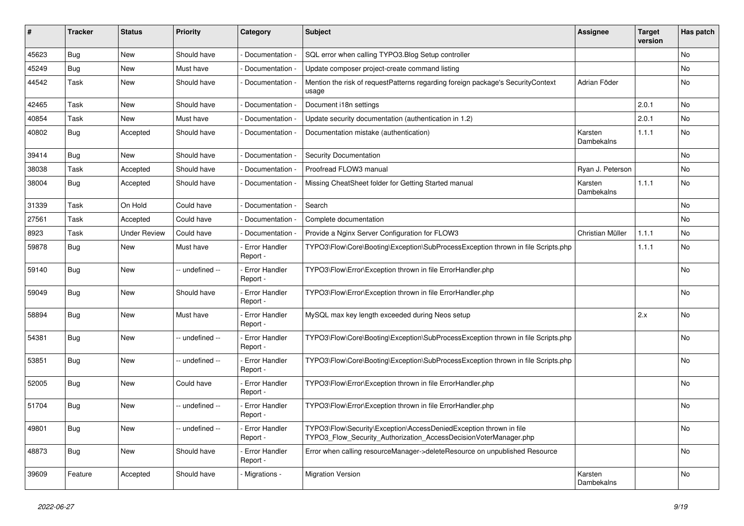| ∦     | <b>Tracker</b> | <b>Status</b>       | <b>Priority</b> | Category                         | <b>Subject</b>                                                                                                                         | Assignee              | <b>Target</b><br>version | Has patch |
|-------|----------------|---------------------|-----------------|----------------------------------|----------------------------------------------------------------------------------------------------------------------------------------|-----------------------|--------------------------|-----------|
| 45623 | Bug            | <b>New</b>          | Should have     | - Documentation -                | SQL error when calling TYPO3.Blog Setup controller                                                                                     |                       |                          | <b>No</b> |
| 45249 | Bug            | <b>New</b>          | Must have       | Documentation -                  | Update composer project-create command listing                                                                                         |                       |                          | No        |
| 44542 | Task           | New                 | Should have     | - Documentation -                | Mention the risk of requestPatterns regarding foreign package's SecurityContext<br>usage                                               | Adrian Föder          |                          | No        |
| 42465 | Task           | <b>New</b>          | Should have     | Documentation                    | Document i18n settings                                                                                                                 |                       | 2.0.1                    | <b>No</b> |
| 40854 | Task           | <b>New</b>          | Must have       | Documentation                    | Update security documentation (authentication in 1.2)                                                                                  |                       | 2.0.1                    | <b>No</b> |
| 40802 | <b>Bug</b>     | Accepted            | Should have     | Documentation                    | Documentation mistake (authentication)                                                                                                 | Karsten<br>Dambekalns | 1.1.1                    | No        |
| 39414 | Bug            | <b>New</b>          | Should have     | Documentation                    | Security Documentation                                                                                                                 |                       |                          | <b>No</b> |
| 38038 | Task           | Accepted            | Should have     | Documentation                    | Proofread FLOW3 manual                                                                                                                 | Ryan J. Peterson      |                          | No        |
| 38004 | Bug            | Accepted            | Should have     | Documentation                    | Missing CheatSheet folder for Getting Started manual                                                                                   | Karsten<br>Dambekalns | 1.1.1                    | No        |
| 31339 | Task           | On Hold             | Could have      | Documentation                    | Search                                                                                                                                 |                       |                          | <b>No</b> |
| 27561 | Task           | Accepted            | Could have      | Documentation                    | Complete documentation                                                                                                                 |                       |                          | <b>No</b> |
| 8923  | Task           | <b>Under Review</b> | Could have      | Documentation                    | Provide a Nginx Server Configuration for FLOW3                                                                                         | Christian Müller      | 1.1.1                    | No        |
| 59878 | Bug            | New                 | Must have       | Error Handler<br>Report -        | TYPO3\Flow\Core\Booting\Exception\SubProcessException thrown in file Scripts.php                                                       |                       | 1.1.1                    | No        |
| 59140 | Bug            | New                 | -- undefined -- | Error Handler<br>Report -        | TYPO3\Flow\Error\Exception thrown in file ErrorHandler.php                                                                             |                       |                          | <b>No</b> |
| 59049 | Bug            | <b>New</b>          | Should have     | Error Handler<br>Report -        | TYPO3\Flow\Error\Exception thrown in file ErrorHandler.php                                                                             |                       |                          | <b>No</b> |
| 58894 | Bug            | <b>New</b>          | Must have       | Error Handler<br>Report -        | MySQL max key length exceeded during Neos setup                                                                                        |                       | 2.x                      | No        |
| 54381 | Bug            | New                 | - undefined --  | Error Handler<br>Report -        | TYPO3\Flow\Core\Booting\Exception\SubProcessException thrown in file Scripts.php                                                       |                       |                          | <b>No</b> |
| 53851 | Bug            | New                 | - undefined --  | Error Handler<br>Report -        | TYPO3\Flow\Core\Booting\Exception\SubProcessException thrown in file Scripts.php                                                       |                       |                          | <b>No</b> |
| 52005 | Bug            | <b>New</b>          | Could have      | Error Handler<br>Report -        | TYPO3\Flow\Error\Exception thrown in file ErrorHandler.php                                                                             |                       |                          | <b>No</b> |
| 51704 | Bug            | New                 | - undefined --  | Error Handler<br>Report -        | TYPO3\Flow\Error\Exception thrown in file ErrorHandler.php                                                                             |                       |                          | <b>No</b> |
| 49801 | <b>Bug</b>     | New                 | -- undefined -- | <b>Error Handler</b><br>Report - | TYPO3\Flow\Security\Exception\AccessDeniedException thrown in file<br>TYPO3 Flow Security Authorization AccessDecisionVoterManager.php |                       |                          | No        |
| 48873 | <b>Bug</b>     | New                 | Should have     | Error Handler<br>Report -        | Error when calling resourceManager->deleteResource on unpublished Resource                                                             |                       |                          | No        |
| 39609 | Feature        | Accepted            | Should have     | - Migrations -                   | <b>Migration Version</b>                                                                                                               | Karsten<br>Dambekalns |                          | No        |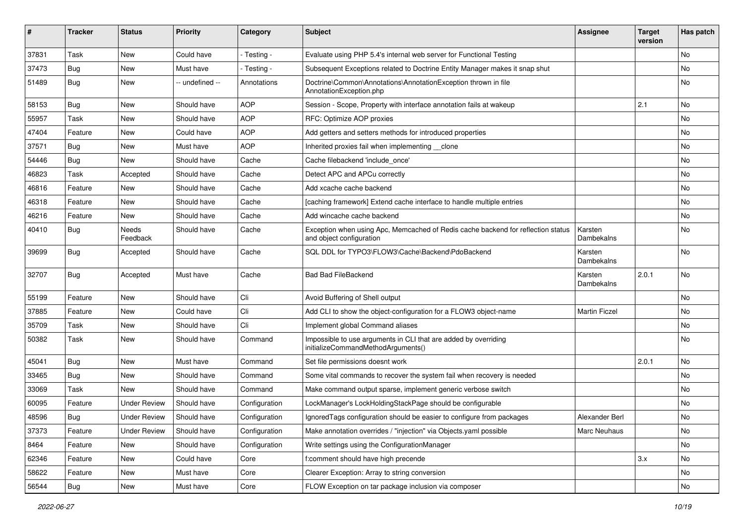| #     | <b>Tracker</b> | <b>Status</b>            | <b>Priority</b> | Category      | <b>Subject</b>                                                                                               | <b>Assignee</b>       | <b>Target</b><br>version | <b>Has patch</b> |
|-------|----------------|--------------------------|-----------------|---------------|--------------------------------------------------------------------------------------------------------------|-----------------------|--------------------------|------------------|
| 37831 | Task           | <b>New</b>               | Could have      | - Testing -   | Evaluate using PHP 5.4's internal web server for Functional Testing                                          |                       |                          | <b>No</b>        |
| 37473 | Bug            | New                      | Must have       | - Testing -   | Subsequent Exceptions related to Doctrine Entity Manager makes it snap shut                                  |                       |                          | No               |
| 51489 | Bug            | New                      | -- undefined -- | Annotations   | Doctrine\Common\Annotations\AnnotationException thrown in file<br>AnnotationException.php                    |                       |                          | No               |
| 58153 | Bug            | <b>New</b>               | Should have     | <b>AOP</b>    | Session - Scope, Property with interface annotation fails at wakeup                                          |                       | 2.1                      | <b>No</b>        |
| 55957 | <b>Task</b>    | New                      | Should have     | <b>AOP</b>    | RFC: Optimize AOP proxies                                                                                    |                       |                          | No               |
| 47404 | Feature        | <b>New</b>               | Could have      | <b>AOP</b>    | Add getters and setters methods for introduced properties                                                    |                       |                          | No               |
| 37571 | Bug            | New                      | Must have       | <b>AOP</b>    | Inherited proxies fail when implementing clone                                                               |                       |                          | No               |
| 54446 | <b>Bug</b>     | New                      | Should have     | Cache         | Cache filebackend 'include once'                                                                             |                       |                          | No               |
| 46823 | Task           | Accepted                 | Should have     | Cache         | Detect APC and APCu correctly                                                                                |                       |                          | No               |
| 46816 | Feature        | <b>New</b>               | Should have     | Cache         | Add xcache cache backend                                                                                     |                       |                          | No               |
| 46318 | Feature        | <b>New</b>               | Should have     | Cache         | [caching framework] Extend cache interface to handle multiple entries                                        |                       |                          | No               |
| 46216 | Feature        | New                      | Should have     | Cache         | Add wincache cache backend                                                                                   |                       |                          | No               |
| 40410 | Bug            | <b>Needs</b><br>Feedback | Should have     | Cache         | Exception when using Apc, Memcached of Redis cache backend for reflection status<br>and object configuration | Karsten<br>Dambekalns |                          | No               |
| 39699 | Bug            | Accepted                 | Should have     | Cache         | SQL DDL for TYPO3\FLOW3\Cache\Backend\PdoBackend                                                             | Karsten<br>Dambekalns |                          | <b>No</b>        |
| 32707 | Bug            | Accepted                 | Must have       | Cache         | <b>Bad Bad FileBackend</b>                                                                                   | Karsten<br>Dambekalns | 2.0.1                    | No               |
| 55199 | Feature        | <b>New</b>               | Should have     | Cli           | Avoid Buffering of Shell output                                                                              |                       |                          | No               |
| 37885 | Feature        | New                      | Could have      | Cli           | Add CLI to show the object-configuration for a FLOW3 object-name                                             | <b>Martin Ficzel</b>  |                          | No               |
| 35709 | <b>Task</b>    | <b>New</b>               | Should have     | Cli           | Implement global Command aliases                                                                             |                       |                          | No               |
| 50382 | Task           | <b>New</b>               | Should have     | Command       | Impossible to use arguments in CLI that are added by overriding<br>initializeCommandMethodArguments()        |                       |                          | No               |
| 45041 | Bug            | <b>New</b>               | Must have       | Command       | Set file permissions doesnt work                                                                             |                       | 2.0.1                    | <b>No</b>        |
| 33465 | Bug            | New                      | Should have     | Command       | Some vital commands to recover the system fail when recovery is needed                                       |                       |                          | No               |
| 33069 | Task           | New                      | Should have     | Command       | Make command output sparse, implement generic verbose switch                                                 |                       |                          | No               |
| 60095 | Feature        | <b>Under Review</b>      | Should have     | Configuration | LockManager's LockHoldingStackPage should be configurable                                                    |                       |                          | No               |
| 48596 | Bug            | <b>Under Review</b>      | Should have     | Configuration | Ignored Tags configuration should be easier to configure from packages                                       | Alexander Berl        |                          | No               |
| 37373 | Feature        | <b>Under Review</b>      | Should have     | Configuration | Make annotation overrides / "injection" via Objects.yaml possible                                            | Marc Neuhaus          |                          | No               |
| 8464  | Feature        | New                      | Should have     | Configuration | Write settings using the ConfigurationManager                                                                |                       |                          | No               |
| 62346 | Feature        | New                      | Could have      | Core          | f:comment should have high precende                                                                          |                       | 3.x                      | No               |
| 58622 | Feature        | New                      | Must have       | Core          | Clearer Exception: Array to string conversion                                                                |                       |                          | No               |
| 56544 | <b>Bug</b>     | New                      | Must have       | Core          | FLOW Exception on tar package inclusion via composer                                                         |                       |                          | No               |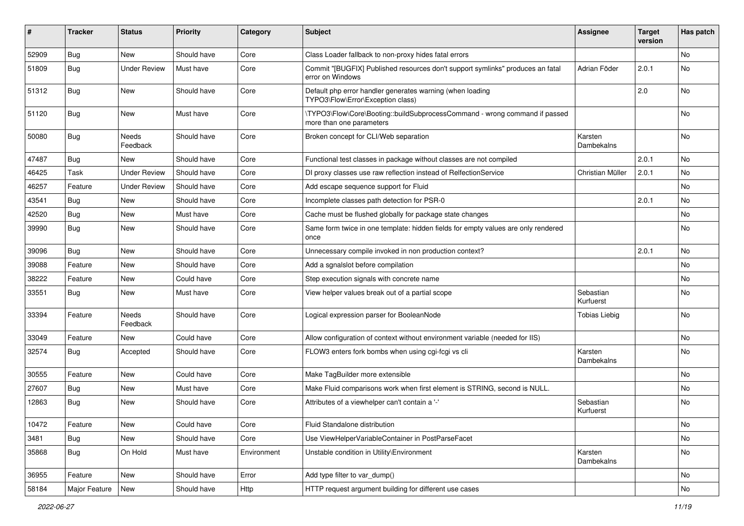| ∦     | <b>Tracker</b> | <b>Status</b>       | <b>Priority</b> | Category    | Subject                                                                                                | <b>Assignee</b>        | <b>Target</b><br>version | Has patch |
|-------|----------------|---------------------|-----------------|-------------|--------------------------------------------------------------------------------------------------------|------------------------|--------------------------|-----------|
| 52909 | Bug            | <b>New</b>          | Should have     | Core        | Class Loader fallback to non-proxy hides fatal errors                                                  |                        |                          | No        |
| 51809 | Bug            | <b>Under Review</b> | Must have       | Core        | Commit "[BUGFIX] Published resources don't support symlinks" produces an fatal<br>error on Windows     | Adrian Föder           | 2.0.1                    | No        |
| 51312 | Bug            | <b>New</b>          | Should have     | Core        | Default php error handler generates warning (when loading<br>TYPO3\Flow\Error\Exception class)         |                        | 2.0                      | <b>No</b> |
| 51120 | <b>Bug</b>     | <b>New</b>          | Must have       | Core        | \TYPO3\Flow\Core\Booting::buildSubprocessCommand - wrong command if passed<br>more than one parameters |                        |                          | <b>No</b> |
| 50080 | Bug            | Needs<br>Feedback   | Should have     | Core        | Broken concept for CLI/Web separation                                                                  | Karsten<br>Dambekalns  |                          | No        |
| 47487 | Bug            | New                 | Should have     | Core        | Functional test classes in package without classes are not compiled                                    |                        | 2.0.1                    | No        |
| 46425 | Task           | <b>Under Review</b> | Should have     | Core        | DI proxy classes use raw reflection instead of RelfectionService                                       | Christian Müller       | 2.0.1                    | No        |
| 46257 | Feature        | <b>Under Review</b> | Should have     | Core        | Add escape sequence support for Fluid                                                                  |                        |                          | No        |
| 43541 | Bug            | New                 | Should have     | Core        | Incomplete classes path detection for PSR-0                                                            |                        | 2.0.1                    | <b>No</b> |
| 42520 | Bug            | <b>New</b>          | Must have       | Core        | Cache must be flushed globally for package state changes                                               |                        |                          | <b>No</b> |
| 39990 | <b>Bug</b>     | New                 | Should have     | Core        | Same form twice in one template: hidden fields for empty values are only rendered<br>once              |                        |                          | No        |
| 39096 | Bug            | <b>New</b>          | Should have     | Core        | Unnecessary compile invoked in non production context?                                                 |                        | 2.0.1                    | <b>No</b> |
| 39088 | Feature        | New                 | Should have     | Core        | Add a sgnalslot before compilation                                                                     |                        |                          | <b>No</b> |
| 38222 | Feature        | <b>New</b>          | Could have      | Core        | Step execution signals with concrete name                                                              |                        |                          | No        |
| 33551 | Bug            | <b>New</b>          | Must have       | Core        | View helper values break out of a partial scope                                                        | Sebastian<br>Kurfuerst |                          | No        |
| 33394 | Feature        | Needs<br>Feedback   | Should have     | Core        | Logical expression parser for BooleanNode                                                              | <b>Tobias Liebig</b>   |                          | No        |
| 33049 | Feature        | New                 | Could have      | Core        | Allow configuration of context without environment variable (needed for IIS)                           |                        |                          | No        |
| 32574 | Bug            | Accepted            | Should have     | Core        | FLOW3 enters fork bombs when using cgi-fcgi vs cli                                                     | Karsten<br>Dambekalns  |                          | <b>No</b> |
| 30555 | Feature        | <b>New</b>          | Could have      | Core        | Make TagBuilder more extensible                                                                        |                        |                          | <b>No</b> |
| 27607 | <b>Bug</b>     | <b>New</b>          | Must have       | Core        | Make Fluid comparisons work when first element is STRING, second is NULL.                              |                        |                          | No        |
| 12863 | <b>Bug</b>     | New                 | Should have     | Core        | Attributes of a viewhelper can't contain a '-'                                                         | Sebastian<br>Kurfuerst |                          | No        |
| 10472 | Feature        | New                 | Could have      | Core        | Fluid Standalone distribution                                                                          |                        |                          | No        |
| 3481  | Bug            | New                 | Should have     | Core        | Use ViewHelperVariableContainer in PostParseFacet                                                      |                        |                          | No        |
| 35868 | Bug            | On Hold             | Must have       | Environment | Unstable condition in Utility\Environment                                                              | Karsten<br>Dambekalns  |                          | No        |
| 36955 | Feature        | New                 | Should have     | Error       | Add type filter to var_dump()                                                                          |                        |                          | No        |
| 58184 | Major Feature  | New                 | Should have     | Http        | HTTP request argument building for different use cases                                                 |                        |                          | No        |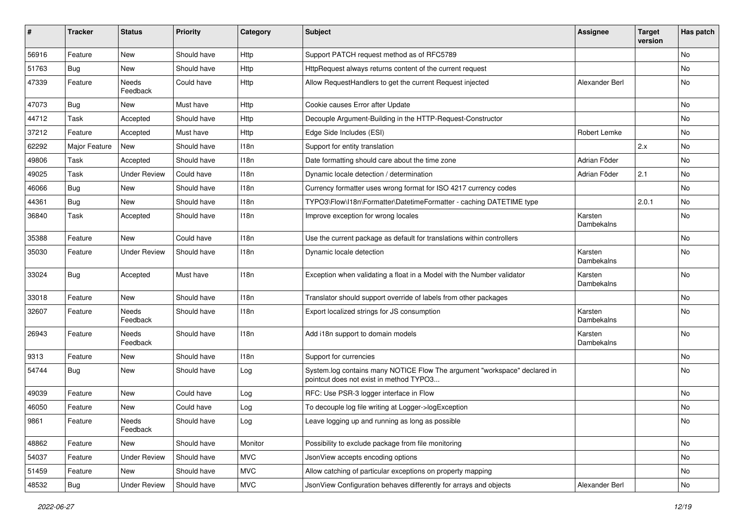| #     | <b>Tracker</b> | <b>Status</b>       | <b>Priority</b> | Category   | Subject                                                                                                              | <b>Assignee</b>       | <b>Target</b><br>version | Has patch |
|-------|----------------|---------------------|-----------------|------------|----------------------------------------------------------------------------------------------------------------------|-----------------------|--------------------------|-----------|
| 56916 | Feature        | <b>New</b>          | Should have     | Http       | Support PATCH request method as of RFC5789                                                                           |                       |                          | No        |
| 51763 | <b>Bug</b>     | New                 | Should have     | Http       | HttpRequest always returns content of the current request                                                            |                       |                          | No        |
| 47339 | Feature        | Needs<br>Feedback   | Could have      | Http       | Allow RequestHandlers to get the current Request injected                                                            | Alexander Berl        |                          | No        |
| 47073 | Bug            | New                 | Must have       | Http       | Cookie causes Error after Update                                                                                     |                       |                          | <b>No</b> |
| 44712 | Task           | Accepted            | Should have     | Http       | Decouple Argument-Building in the HTTP-Request-Constructor                                                           |                       |                          | <b>No</b> |
| 37212 | Feature        | Accepted            | Must have       | Http       | Edge Side Includes (ESI)                                                                                             | Robert Lemke          |                          | No        |
| 62292 | Major Feature  | New                 | Should have     | 118n       | Support for entity translation                                                                                       |                       | 2.x                      | No        |
| 49806 | Task           | Accepted            | Should have     | 118n       | Date formatting should care about the time zone                                                                      | Adrian Föder          |                          | No        |
| 49025 | Task           | <b>Under Review</b> | Could have      | 118n       | Dynamic locale detection / determination                                                                             | Adrian Föder          | 2.1                      | No        |
| 46066 | <b>Bug</b>     | <b>New</b>          | Should have     | 118n       | Currency formatter uses wrong format for ISO 4217 currency codes                                                     |                       |                          | No        |
| 44361 | Bug            | New                 | Should have     | 118n       | TYPO3\Flow\I18n\Formatter\DatetimeFormatter - caching DATETIME type                                                  |                       | 2.0.1                    | No        |
| 36840 | Task           | Accepted            | Should have     | 118n       | Improve exception for wrong locales                                                                                  | Karsten<br>Dambekalns |                          | No        |
| 35388 | Feature        | New                 | Could have      | 118n       | Use the current package as default for translations within controllers                                               |                       |                          | No        |
| 35030 | Feature        | <b>Under Review</b> | Should have     | 118n       | Dynamic locale detection                                                                                             | Karsten<br>Dambekalns |                          | <b>No</b> |
| 33024 | Bug            | Accepted            | Must have       | 118n       | Exception when validating a float in a Model with the Number validator                                               | Karsten<br>Dambekalns |                          | <b>No</b> |
| 33018 | Feature        | New                 | Should have     | 118n       | Translator should support override of labels from other packages                                                     |                       |                          | No        |
| 32607 | Feature        | Needs<br>Feedback   | Should have     | 118n       | Export localized strings for JS consumption                                                                          | Karsten<br>Dambekalns |                          | No        |
| 26943 | Feature        | Needs<br>Feedback   | Should have     | 118n       | Add i18n support to domain models                                                                                    | Karsten<br>Dambekalns |                          | No        |
| 9313  | Feature        | <b>New</b>          | Should have     | 118n       | Support for currencies                                                                                               |                       |                          | No        |
| 54744 | <b>Bug</b>     | New                 | Should have     | Log        | System.log contains many NOTICE Flow The argument "workspace" declared in<br>pointcut does not exist in method TYPO3 |                       |                          | No        |
| 49039 | Feature        | <b>New</b>          | Could have      | Log        | RFC: Use PSR-3 logger interface in Flow                                                                              |                       |                          | No        |
| 46050 | Feature        | New                 | Could have      | Log        | To decouple log file writing at Logger->logException                                                                 |                       |                          | No        |
| 9861  | Feature        | Needs<br>Feedback   | Should have     | Log        | Leave logging up and running as long as possible                                                                     |                       |                          | No        |
| 48862 | Feature        | New                 | Should have     | Monitor    | Possibility to exclude package from file monitoring                                                                  |                       |                          | No        |
| 54037 | Feature        | <b>Under Review</b> | Should have     | <b>MVC</b> | JsonView accepts encoding options                                                                                    |                       |                          | No        |
| 51459 | Feature        | New                 | Should have     | <b>MVC</b> | Allow catching of particular exceptions on property mapping                                                          |                       |                          | No        |
| 48532 | Bug            | <b>Under Review</b> | Should have     | <b>MVC</b> | JsonView Configuration behaves differently for arrays and objects                                                    | Alexander Berl        |                          | No        |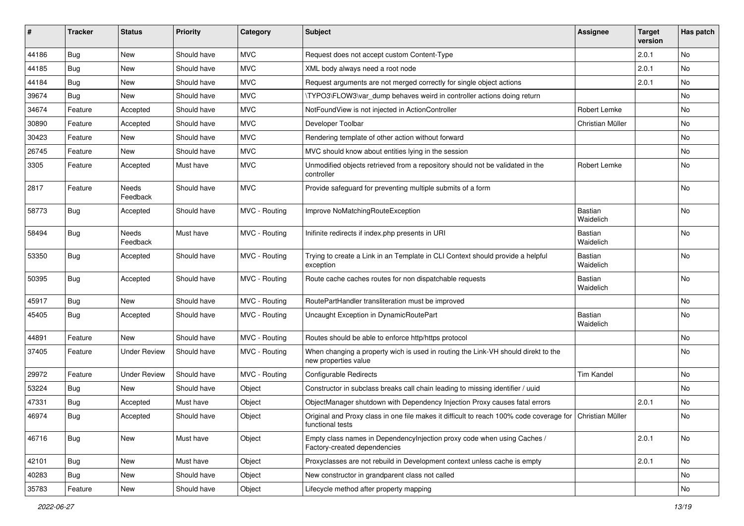| #     | <b>Tracker</b> | <b>Status</b>       | <b>Priority</b> | Category      | <b>Subject</b>                                                                                                               | Assignee                    | <b>Target</b><br>version | Has patch |
|-------|----------------|---------------------|-----------------|---------------|------------------------------------------------------------------------------------------------------------------------------|-----------------------------|--------------------------|-----------|
| 44186 | Bug            | <b>New</b>          | Should have     | <b>MVC</b>    | Request does not accept custom Content-Type                                                                                  |                             | 2.0.1                    | <b>No</b> |
| 44185 | <b>Bug</b>     | New                 | Should have     | <b>MVC</b>    | XML body always need a root node                                                                                             |                             | 2.0.1                    | No        |
| 44184 | <b>Bug</b>     | <b>New</b>          | Should have     | <b>MVC</b>    | Request arguments are not merged correctly for single object actions                                                         |                             | 2.0.1                    | <b>No</b> |
| 39674 | <b>Bug</b>     | <b>New</b>          | Should have     | <b>MVC</b>    | \TYPO3\FLOW3\var_dump behaves weird in controller actions doing return                                                       |                             |                          | No        |
| 34674 | Feature        | Accepted            | Should have     | <b>MVC</b>    | NotFoundView is not injected in ActionController                                                                             | Robert Lemke                |                          | No        |
| 30890 | Feature        | Accepted            | Should have     | <b>MVC</b>    | Developer Toolbar                                                                                                            | Christian Müller            |                          | <b>No</b> |
| 30423 | Feature        | New                 | Should have     | <b>MVC</b>    | Rendering template of other action without forward                                                                           |                             |                          | No        |
| 26745 | Feature        | <b>New</b>          | Should have     | <b>MVC</b>    | MVC should know about entities lying in the session                                                                          |                             |                          | No        |
| 3305  | Feature        | Accepted            | Must have       | <b>MVC</b>    | Unmodified objects retrieved from a repository should not be validated in the<br>controller                                  | Robert Lemke                |                          | No        |
| 2817  | Feature        | Needs<br>Feedback   | Should have     | <b>MVC</b>    | Provide safeguard for preventing multiple submits of a form                                                                  |                             |                          | <b>No</b> |
| 58773 | Bug            | Accepted            | Should have     | MVC - Routing | Improve NoMatchingRouteException                                                                                             | Bastian<br>Waidelich        |                          | <b>No</b> |
| 58494 | <b>Bug</b>     | Needs<br>Feedback   | Must have       | MVC - Routing | Inifinite redirects if index.php presents in URI                                                                             | Bastian<br>Waidelich        |                          | <b>No</b> |
| 53350 | <b>Bug</b>     | Accepted            | Should have     | MVC - Routing | Trying to create a Link in an Template in CLI Context should provide a helpful<br>exception                                  | Bastian<br>Waidelich        |                          | <b>No</b> |
| 50395 | <b>Bug</b>     | Accepted            | Should have     | MVC - Routing | Route cache caches routes for non dispatchable requests                                                                      | Bastian<br>Waidelich        |                          | <b>No</b> |
| 45917 | <b>Bug</b>     | New                 | Should have     | MVC - Routing | RoutePartHandler transliteration must be improved                                                                            |                             |                          | No        |
| 45405 | <b>Bug</b>     | Accepted            | Should have     | MVC - Routing | Uncaught Exception in DynamicRoutePart                                                                                       | <b>Bastian</b><br>Waidelich |                          | <b>No</b> |
| 44891 | Feature        | New                 | Should have     | MVC - Routing | Routes should be able to enforce http/https protocol                                                                         |                             |                          | No        |
| 37405 | Feature        | <b>Under Review</b> | Should have     | MVC - Routing | When changing a property wich is used in routing the Link-VH should direkt to the<br>new properties value                    |                             |                          | No        |
| 29972 | Feature        | <b>Under Review</b> | Should have     | MVC - Routing | <b>Configurable Redirects</b>                                                                                                | <b>Tim Kandel</b>           |                          | No        |
| 53224 | <b>Bug</b>     | <b>New</b>          | Should have     | Object        | Constructor in subclass breaks call chain leading to missing identifier / uuid                                               |                             |                          | <b>No</b> |
| 47331 | <b>Bug</b>     | Accepted            | Must have       | Object        | ObjectManager shutdown with Dependency Injection Proxy causes fatal errors                                                   |                             | 2.0.1                    | No        |
| 46974 | <b>Bug</b>     | Accepted            | Should have     | Object        | Original and Proxy class in one file makes it difficult to reach 100% code coverage for Christian Müller<br>functional tests |                             |                          | <b>No</b> |
| 46716 | <b>Bug</b>     | <b>New</b>          | Must have       | Object        | Empty class names in Dependencylnjection proxy code when using Caches /<br>Factory-created dependencies                      |                             | 2.0.1                    | <b>No</b> |
| 42101 | Bug            | New                 | Must have       | Object        | Proxyclasses are not rebuild in Development context unless cache is empty                                                    |                             | 2.0.1                    | No        |
| 40283 | <b>Bug</b>     | New                 | Should have     | Object        | New constructor in grandparent class not called                                                                              |                             |                          | No        |
| 35783 | Feature        | New                 | Should have     | Object        | Lifecycle method after property mapping                                                                                      |                             |                          | No        |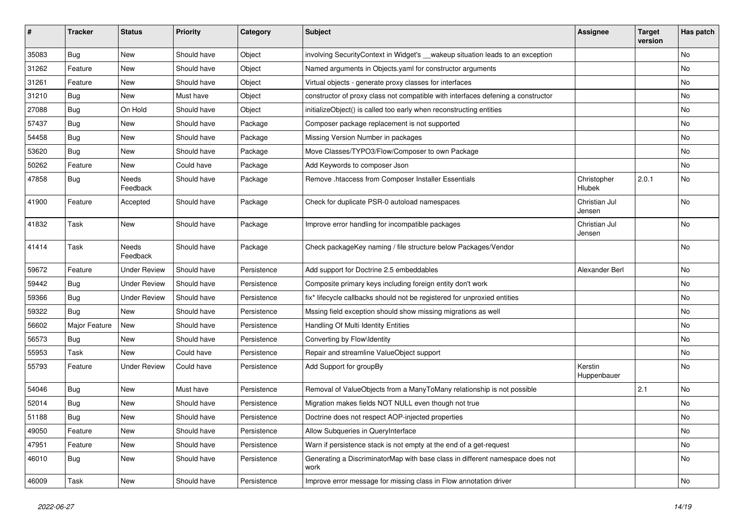| ∦     | <b>Tracker</b> | <b>Status</b>       | <b>Priority</b> | Category    | Subject                                                                               | <b>Assignee</b>         | <b>Target</b><br>version | Has patch |
|-------|----------------|---------------------|-----------------|-------------|---------------------------------------------------------------------------------------|-------------------------|--------------------------|-----------|
| 35083 | <b>Bug</b>     | <b>New</b>          | Should have     | Object      | involving SecurityContext in Widget's __wakeup situation leads to an exception        |                         |                          | No        |
| 31262 | Feature        | New                 | Should have     | Object      | Named arguments in Objects.yaml for constructor arguments                             |                         |                          | No        |
| 31261 | Feature        | New                 | Should have     | Object      | Virtual objects - generate proxy classes for interfaces                               |                         |                          | No        |
| 31210 | Bug            | New                 | Must have       | Object      | constructor of proxy class not compatible with interfaces defening a constructor      |                         |                          | No        |
| 27088 | <b>Bug</b>     | On Hold             | Should have     | Object      | initializeObject() is called too early when reconstructing entities                   |                         |                          | No        |
| 57437 | <b>Bug</b>     | <b>New</b>          | Should have     | Package     | Composer package replacement is not supported                                         |                         |                          | No        |
| 54458 | Bug            | New                 | Should have     | Package     | Missing Version Number in packages                                                    |                         |                          | No        |
| 53620 | Bug            | New                 | Should have     | Package     | Move Classes/TYPO3/Flow/Composer to own Package                                       |                         |                          | No        |
| 50262 | Feature        | New                 | Could have      | Package     | Add Keywords to composer Json                                                         |                         |                          | No        |
| 47858 | <b>Bug</b>     | Needs<br>Feedback   | Should have     | Package     | Remove .htaccess from Composer Installer Essentials                                   | Christopher<br>Hlubek   | 2.0.1                    | No        |
| 41900 | Feature        | Accepted            | Should have     | Package     | Check for duplicate PSR-0 autoload namespaces                                         | Christian Jul<br>Jensen |                          | No        |
| 41832 | Task           | New                 | Should have     | Package     | Improve error handling for incompatible packages                                      | Christian Jul<br>Jensen |                          | No        |
| 41414 | Task           | Needs<br>Feedback   | Should have     | Package     | Check packageKey naming / file structure below Packages/Vendor                        |                         |                          | No        |
| 59672 | Feature        | <b>Under Review</b> | Should have     | Persistence | Add support for Doctrine 2.5 embeddables                                              | Alexander Berl          |                          | No        |
| 59442 | Bug            | <b>Under Review</b> | Should have     | Persistence | Composite primary keys including foreign entity don't work                            |                         |                          | No        |
| 59366 | <b>Bug</b>     | <b>Under Review</b> | Should have     | Persistence | fix* lifecycle callbacks should not be registered for unproxied entities              |                         |                          | No        |
| 59322 | <b>Bug</b>     | New                 | Should have     | Persistence | Mssing field exception should show missing migrations as well                         |                         |                          | No        |
| 56602 | Major Feature  | <b>New</b>          | Should have     | Persistence | Handling Of Multi Identity Entities                                                   |                         |                          | No        |
| 56573 | Bug            | New                 | Should have     | Persistence | Converting by Flow\Identity                                                           |                         |                          | No        |
| 55953 | Task           | New                 | Could have      | Persistence | Repair and streamline ValueObject support                                             |                         |                          | No        |
| 55793 | Feature        | <b>Under Review</b> | Could have      | Persistence | Add Support for groupBy                                                               | Kerstin<br>Huppenbauer  |                          | No        |
| 54046 | <b>Bug</b>     | <b>New</b>          | Must have       | Persistence | Removal of ValueObjects from a ManyToMany relationship is not possible                |                         | 2.1                      | No        |
| 52014 | <b>Bug</b>     | <b>New</b>          | Should have     | Persistence | Migration makes fields NOT NULL even though not true                                  |                         |                          | No        |
| 51188 | <b>Bug</b>     | New                 | Should have     | Persistence | Doctrine does not respect AOP-injected properties                                     |                         |                          | No        |
| 49050 | Feature        | <b>New</b>          | Should have     | Persistence | Allow Subqueries in QueryInterface                                                    |                         |                          | No        |
| 47951 | Feature        | New                 | Should have     | Persistence | Warn if persistence stack is not empty at the end of a get-request                    |                         |                          | No        |
| 46010 | <b>Bug</b>     | New                 | Should have     | Persistence | Generating a DiscriminatorMap with base class in different namespace does not<br>work |                         |                          | No        |
| 46009 | Task           | New                 | Should have     | Persistence | Improve error message for missing class in Flow annotation driver                     |                         |                          | No        |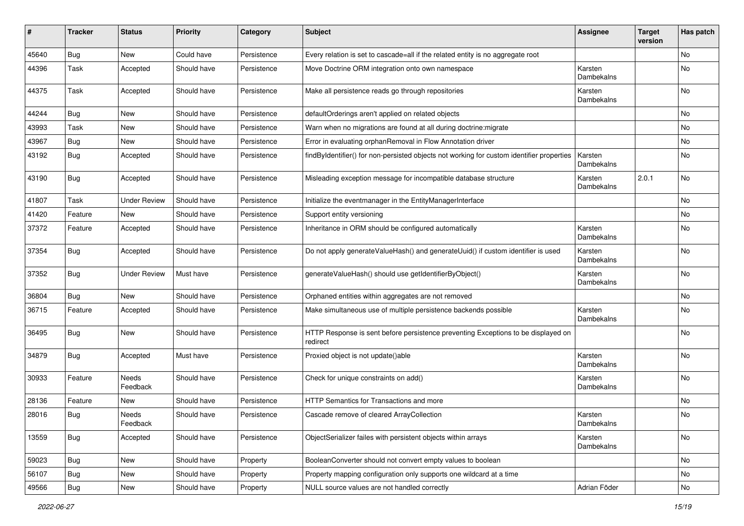| ∦     | <b>Tracker</b> | <b>Status</b>            | <b>Priority</b> | Category    | <b>Subject</b>                                                                                | Assignee              | <b>Target</b><br>version | Has patch |
|-------|----------------|--------------------------|-----------------|-------------|-----------------------------------------------------------------------------------------------|-----------------------|--------------------------|-----------|
| 45640 | Bug            | New                      | Could have      | Persistence | Every relation is set to cascade=all if the related entity is no aggregate root               |                       |                          | No        |
| 44396 | Task           | Accepted                 | Should have     | Persistence | Move Doctrine ORM integration onto own namespace                                              | Karsten<br>Dambekalns |                          | No        |
| 44375 | Task           | Accepted                 | Should have     | Persistence | Make all persistence reads go through repositories                                            | Karsten<br>Dambekalns |                          | No        |
| 44244 | Bug            | <b>New</b>               | Should have     | Persistence | defaultOrderings aren't applied on related objects                                            |                       |                          | No        |
| 43993 | Task           | New                      | Should have     | Persistence | Warn when no migrations are found at all during doctrine: migrate                             |                       |                          | No        |
| 43967 | Bug            | <b>New</b>               | Should have     | Persistence | Error in evaluating orphanRemoval in Flow Annotation driver                                   |                       |                          | No        |
| 43192 | Bug            | Accepted                 | Should have     | Persistence | findByIdentifier() for non-persisted objects not working for custom identifier properties     | Karsten<br>Dambekalns |                          | No        |
| 43190 | <b>Bug</b>     | Accepted                 | Should have     | Persistence | Misleading exception message for incompatible database structure                              | Karsten<br>Dambekalns | 2.0.1                    | No        |
| 41807 | Task           | <b>Under Review</b>      | Should have     | Persistence | Initialize the eventmanager in the EntityManagerInterface                                     |                       |                          | No        |
| 41420 | Feature        | New                      | Should have     | Persistence | Support entity versioning                                                                     |                       |                          | No        |
| 37372 | Feature        | Accepted                 | Should have     | Persistence | Inheritance in ORM should be configured automatically                                         | Karsten<br>Dambekalns |                          | No        |
| 37354 | Bug            | Accepted                 | Should have     | Persistence | Do not apply generateValueHash() and generateUuid() if custom identifier is used              | Karsten<br>Dambekalns |                          | No        |
| 37352 | Bug            | <b>Under Review</b>      | Must have       | Persistence | generateValueHash() should use getIdentifierByObject()                                        | Karsten<br>Dambekalns |                          | No        |
| 36804 | Bug            | New                      | Should have     | Persistence | Orphaned entities within aggregates are not removed                                           |                       |                          | No        |
| 36715 | Feature        | Accepted                 | Should have     | Persistence | Make simultaneous use of multiple persistence backends possible                               | Karsten<br>Dambekalns |                          | No        |
| 36495 | Bug            | New                      | Should have     | Persistence | HTTP Response is sent before persistence preventing Exceptions to be displayed on<br>redirect |                       |                          | No        |
| 34879 | Bug            | Accepted                 | Must have       | Persistence | Proxied object is not update()able                                                            | Karsten<br>Dambekalns |                          | No        |
| 30933 | Feature        | <b>Needs</b><br>Feedback | Should have     | Persistence | Check for unique constraints on add()                                                         | Karsten<br>Dambekalns |                          | No        |
| 28136 | Feature        | New                      | Should have     | Persistence | HTTP Semantics for Transactions and more                                                      |                       |                          | No        |
| 28016 | Bug            | Needs<br>Feedback        | Should have     | Persistence | Cascade remove of cleared ArrayCollection                                                     | Karsten<br>Dambekalns |                          | No        |
| 13559 | <b>Bug</b>     | Accepted                 | Should have     | Persistence | ObjectSerializer failes with persistent objects within arrays                                 | Karsten<br>Dambekalns |                          | No        |
| 59023 | Bug            | New                      | Should have     | Property    | BooleanConverter should not convert empty values to boolean                                   |                       |                          | No        |
| 56107 | Bug            | New                      | Should have     | Property    | Property mapping configuration only supports one wildcard at a time                           |                       |                          | No        |
| 49566 | <b>Bug</b>     | New                      | Should have     | Property    | NULL source values are not handled correctly                                                  | Adrian Föder          |                          | No        |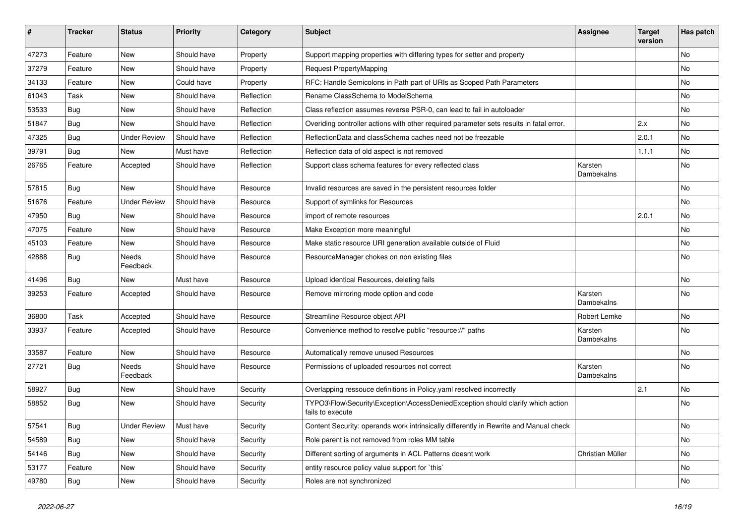| ∦     | <b>Tracker</b> | <b>Status</b>       | <b>Priority</b> | Category   | Subject                                                                                             | <b>Assignee</b>       | <b>Target</b><br>version | Has patch |
|-------|----------------|---------------------|-----------------|------------|-----------------------------------------------------------------------------------------------------|-----------------------|--------------------------|-----------|
| 47273 | Feature        | <b>New</b>          | Should have     | Property   | Support mapping properties with differing types for setter and property                             |                       |                          | <b>No</b> |
| 37279 | Feature        | New                 | Should have     | Property   | <b>Request PropertyMapping</b>                                                                      |                       |                          | No        |
| 34133 | Feature        | New                 | Could have      | Property   | RFC: Handle Semicolons in Path part of URIs as Scoped Path Parameters                               |                       |                          | No        |
| 61043 | Task           | <b>New</b>          | Should have     | Reflection | Rename ClassSchema to ModelSchema                                                                   |                       |                          | No        |
| 53533 | <b>Bug</b>     | New                 | Should have     | Reflection | Class reflection assumes reverse PSR-0, can lead to fail in autoloader                              |                       |                          | No        |
| 51847 | Bug            | New                 | Should have     | Reflection | Overiding controller actions with other required parameter sets results in fatal error.             |                       | 2.x                      | <b>No</b> |
| 47325 | Bug            | <b>Under Review</b> | Should have     | Reflection | ReflectionData and classSchema caches need not be freezable                                         |                       | 2.0.1                    | No        |
| 39791 | Bug            | New                 | Must have       | Reflection | Reflection data of old aspect is not removed                                                        |                       | 1.1.1                    | No        |
| 26765 | Feature        | Accepted            | Should have     | Reflection | Support class schema features for every reflected class                                             | Karsten<br>Dambekalns |                          | No        |
| 57815 | Bug            | <b>New</b>          | Should have     | Resource   | Invalid resources are saved in the persistent resources folder                                      |                       |                          | No        |
| 51676 | Feature        | <b>Under Review</b> | Should have     | Resource   | Support of symlinks for Resources                                                                   |                       |                          | No        |
| 47950 | Bug            | New                 | Should have     | Resource   | import of remote resources                                                                          |                       | 2.0.1                    | No        |
| 47075 | Feature        | <b>New</b>          | Should have     | Resource   | Make Exception more meaningful                                                                      |                       |                          | <b>No</b> |
| 45103 | Feature        | New                 | Should have     | Resource   | Make static resource URI generation available outside of Fluid                                      |                       |                          | No        |
| 42888 | Bug            | Needs<br>Feedback   | Should have     | Resource   | ResourceManager chokes on non existing files                                                        |                       |                          | No        |
| 41496 | Bug            | New                 | Must have       | Resource   | Upload identical Resources, deleting fails                                                          |                       |                          | <b>No</b> |
| 39253 | Feature        | Accepted            | Should have     | Resource   | Remove mirroring mode option and code                                                               | Karsten<br>Dambekalns |                          | No        |
| 36800 | Task           | Accepted            | Should have     | Resource   | Streamline Resource object API                                                                      | Robert Lemke          |                          | No        |
| 33937 | Feature        | Accepted            | Should have     | Resource   | Convenience method to resolve public "resource://" paths                                            | Karsten<br>Dambekalns |                          | <b>No</b> |
| 33587 | Feature        | New                 | Should have     | Resource   | Automatically remove unused Resources                                                               |                       |                          | <b>No</b> |
| 27721 | <b>Bug</b>     | Needs<br>Feedback   | Should have     | Resource   | Permissions of uploaded resources not correct                                                       | Karsten<br>Dambekalns |                          | No        |
| 58927 | Bug            | New                 | Should have     | Security   | Overlapping ressouce definitions in Policy yaml resolved incorrectly                                |                       | 2.1                      | No        |
| 58852 | <b>Bug</b>     | <b>New</b>          | Should have     | Security   | TYPO3\Flow\Security\Exception\AccessDeniedException should clarify which action<br>fails to execute |                       |                          | No        |
| 57541 | Bug            | <b>Under Review</b> | Must have       | Security   | Content Security: operands work intrinsically differently in Rewrite and Manual check               |                       |                          | No        |
| 54589 | <b>Bug</b>     | New                 | Should have     | Security   | Role parent is not removed from roles MM table                                                      |                       |                          | No        |
| 54146 | Bug            | New                 | Should have     | Security   | Different sorting of arguments in ACL Patterns doesnt work                                          | Christian Müller      |                          | No        |
| 53177 | Feature        | New                 | Should have     | Security   | entity resource policy value support for `this`                                                     |                       |                          | No        |
| 49780 | <b>Bug</b>     | New                 | Should have     | Security   | Roles are not synchronized                                                                          |                       |                          | No        |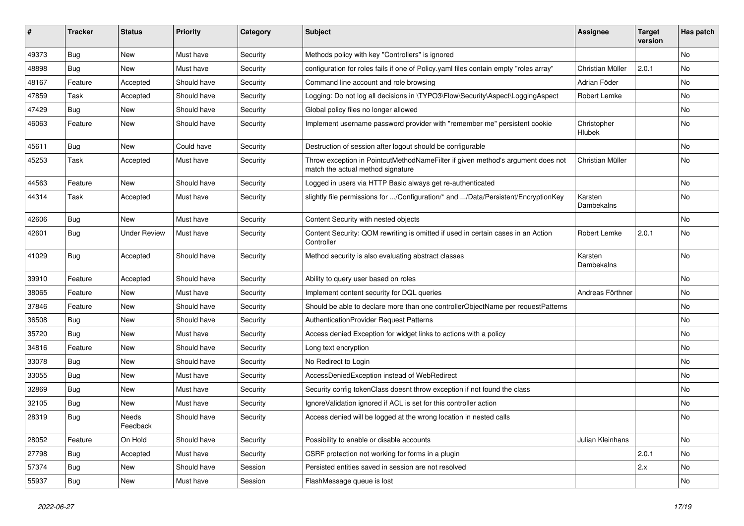| ∦     | <b>Tracker</b> | <b>Status</b>       | <b>Priority</b> | Category | <b>Subject</b>                                                                                                       | <b>Assignee</b>              | <b>Target</b><br>version | Has patch |
|-------|----------------|---------------------|-----------------|----------|----------------------------------------------------------------------------------------------------------------------|------------------------------|--------------------------|-----------|
| 49373 | Bug            | <b>New</b>          | Must have       | Security | Methods policy with key "Controllers" is ignored                                                                     |                              |                          | No        |
| 48898 | <b>Bug</b>     | New                 | Must have       | Security | configuration for roles fails if one of Policy yaml files contain empty "roles array"                                | Christian Müller             | 2.0.1                    | No        |
| 48167 | Feature        | Accepted            | Should have     | Security | Command line account and role browsing                                                                               | Adrian Föder                 |                          | No        |
| 47859 | Task           | Accepted            | Should have     | Security | Logging: Do not log all decisions in \TYPO3\Flow\Security\Aspect\LoggingAspect                                       | Robert Lemke                 |                          | No        |
| 47429 | <b>Bug</b>     | New                 | Should have     | Security | Global policy files no longer allowed                                                                                |                              |                          | No        |
| 46063 | Feature        | New                 | Should have     | Security | Implement username password provider with "remember me" persistent cookie                                            | Christopher<br><b>Hlubek</b> |                          | No        |
| 45611 | Bug            | <b>New</b>          | Could have      | Security | Destruction of session after logout should be configurable                                                           |                              |                          | No        |
| 45253 | Task           | Accepted            | Must have       | Security | Throw exception in PointcutMethodNameFilter if given method's argument does not<br>match the actual method signature | Christian Müller             |                          | No        |
| 44563 | Feature        | New                 | Should have     | Security | Logged in users via HTTP Basic always get re-authenticated                                                           |                              |                          | No        |
| 44314 | Task           | Accepted            | Must have       | Security | slightly file permissions for /Configuration/* and /Data/Persistent/EncryptionKey                                    | Karsten<br>Dambekalns        |                          | No        |
| 42606 | Bug            | New                 | Must have       | Security | Content Security with nested objects                                                                                 |                              |                          | No        |
| 42601 | <b>Bug</b>     | <b>Under Review</b> | Must have       | Security | Content Security: QOM rewriting is omitted if used in certain cases in an Action<br>Controller                       | Robert Lemke                 | 2.0.1                    | No        |
| 41029 | <b>Bug</b>     | Accepted            | Should have     | Security | Method security is also evaluating abstract classes                                                                  | Karsten<br>Dambekalns        |                          | No        |
| 39910 | Feature        | Accepted            | Should have     | Security | Ability to query user based on roles                                                                                 |                              |                          | No        |
| 38065 | Feature        | <b>New</b>          | Must have       | Security | Implement content security for DQL queries                                                                           | Andreas Förthner             |                          | No        |
| 37846 | Feature        | New                 | Should have     | Security | Should be able to declare more than one controllerObjectName per requestPatterns                                     |                              |                          | No        |
| 36508 | Bug            | <b>New</b>          | Should have     | Security | <b>AuthenticationProvider Request Patterns</b>                                                                       |                              |                          | No        |
| 35720 | Bug            | New                 | Must have       | Security | Access denied Exception for widget links to actions with a policy                                                    |                              |                          | No        |
| 34816 | Feature        | <b>New</b>          | Should have     | Security | Long text encryption                                                                                                 |                              |                          | No        |
| 33078 | Bug            | <b>New</b>          | Should have     | Security | No Redirect to Login                                                                                                 |                              |                          | No        |
| 33055 | Bug            | New                 | Must have       | Security | AccessDeniedException instead of WebRedirect                                                                         |                              |                          | No        |
| 32869 | Bug            | New                 | Must have       | Security | Security config tokenClass doesnt throw exception if not found the class                                             |                              |                          | No        |
| 32105 | <b>Bug</b>     | <b>New</b>          | Must have       | Security | Ignore Validation ignored if ACL is set for this controller action                                                   |                              |                          | No        |
| 28319 | Bug            | Needs<br>Feedback   | Should have     | Security | Access denied will be logged at the wrong location in nested calls                                                   |                              |                          | No        |
| 28052 | Feature        | On Hold             | Should have     | Security | Possibility to enable or disable accounts                                                                            | Julian Kleinhans             |                          | No        |
| 27798 | Bug            | Accepted            | Must have       | Security | CSRF protection not working for forms in a plugin                                                                    |                              | 2.0.1                    | No        |
| 57374 | Bug            | <b>New</b>          | Should have     | Session  | Persisted entities saved in session are not resolved                                                                 |                              | 2.x                      | No        |
| 55937 | <b>Bug</b>     | New                 | Must have       | Session  | FlashMessage queue is lost                                                                                           |                              |                          | No        |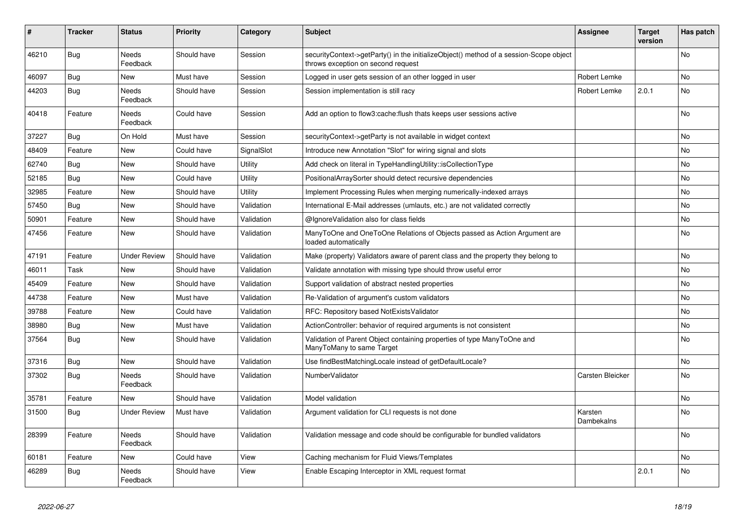| ∦     | <b>Tracker</b> | <b>Status</b>            | <b>Priority</b> | Category       | <b>Subject</b>                                                                                                               | <b>Assignee</b>       | <b>Target</b><br>version | Has patch |
|-------|----------------|--------------------------|-----------------|----------------|------------------------------------------------------------------------------------------------------------------------------|-----------------------|--------------------------|-----------|
| 46210 | Bug            | <b>Needs</b><br>Feedback | Should have     | Session        | securityContext->getParty() in the initializeObject() method of a session-Scope object<br>throws exception on second request |                       |                          | <b>No</b> |
| 46097 | Bug            | <b>New</b>               | Must have       | Session        | Logged in user gets session of an other logged in user                                                                       | Robert Lemke          |                          | No        |
| 44203 | <b>Bug</b>     | Needs<br>Feedback        | Should have     | Session        | Session implementation is still racy                                                                                         | Robert Lemke          | 2.0.1                    | No        |
| 40418 | Feature        | Needs<br>Feedback        | Could have      | Session        | Add an option to flow3:cache: flush thats keeps user sessions active                                                         |                       |                          | No        |
| 37227 | <b>Bug</b>     | On Hold                  | Must have       | Session        | securityContext->getParty is not available in widget context                                                                 |                       |                          | <b>No</b> |
| 48409 | Feature        | <b>New</b>               | Could have      | SignalSlot     | Introduce new Annotation "Slot" for wiring signal and slots                                                                  |                       |                          | <b>No</b> |
| 62740 | Bug            | <b>New</b>               | Should have     | <b>Utility</b> | Add check on literal in TypeHandlingUtility::isCollectionType                                                                |                       |                          | <b>No</b> |
| 52185 | Bug            | <b>New</b>               | Could have      | Utility        | PositionalArraySorter should detect recursive dependencies                                                                   |                       |                          | <b>No</b> |
| 32985 | Feature        | <b>New</b>               | Should have     | Utility        | Implement Processing Rules when merging numerically-indexed arrays                                                           |                       |                          | <b>No</b> |
| 57450 | Bug            | <b>New</b>               | Should have     | Validation     | International E-Mail addresses (umlauts, etc.) are not validated correctly                                                   |                       |                          | <b>No</b> |
| 50901 | Feature        | <b>New</b>               | Should have     | Validation     | @IgnoreValidation also for class fields                                                                                      |                       |                          | <b>No</b> |
| 47456 | Feature        | New                      | Should have     | Validation     | ManyToOne and OneToOne Relations of Objects passed as Action Argument are<br>loaded automatically                            |                       |                          | No        |
| 47191 | Feature        | <b>Under Review</b>      | Should have     | Validation     | Make (property) Validators aware of parent class and the property they belong to                                             |                       |                          | No        |
| 46011 | Task           | <b>New</b>               | Should have     | Validation     | Validate annotation with missing type should throw useful error                                                              |                       |                          | No        |
| 45409 | Feature        | <b>New</b>               | Should have     | Validation     | Support validation of abstract nested properties                                                                             |                       |                          | <b>No</b> |
| 44738 | Feature        | New                      | Must have       | Validation     | Re-Validation of argument's custom validators                                                                                |                       |                          | <b>No</b> |
| 39788 | Feature        | <b>New</b>               | Could have      | Validation     | RFC: Repository based NotExistsValidator                                                                                     |                       |                          | No        |
| 38980 | <b>Bug</b>     | <b>New</b>               | Must have       | Validation     | ActionController: behavior of required arguments is not consistent                                                           |                       |                          | No        |
| 37564 | <b>Bug</b>     | New                      | Should have     | Validation     | Validation of Parent Object containing properties of type ManyToOne and<br>ManyToMany to same Target                         |                       |                          | No        |
| 37316 | <b>Bug</b>     | New                      | Should have     | Validation     | Use findBestMatchingLocale instead of getDefaultLocale?                                                                      |                       |                          | No        |
| 37302 | <b>Bug</b>     | Needs<br>Feedback        | Should have     | Validation     | NumberValidator                                                                                                              | Carsten Bleicker      |                          | No        |
| 35781 | Feature        | <b>New</b>               | Should have     | Validation     | Model validation                                                                                                             |                       |                          | <b>No</b> |
| 31500 | Bug            | <b>Under Review</b>      | Must have       | Validation     | Argument validation for CLI requests is not done                                                                             | Karsten<br>Dambekalns |                          | <b>No</b> |
| 28399 | Feature        | Needs<br>Feedback        | Should have     | Validation     | Validation message and code should be configurable for bundled validators                                                    |                       |                          | <b>No</b> |
| 60181 | Feature        | <b>New</b>               | Could have      | View           | Caching mechanism for Fluid Views/Templates                                                                                  |                       |                          | No        |
| 46289 | <b>Bug</b>     | Needs<br>Feedback        | Should have     | View           | Enable Escaping Interceptor in XML request format                                                                            |                       | 2.0.1                    | No        |